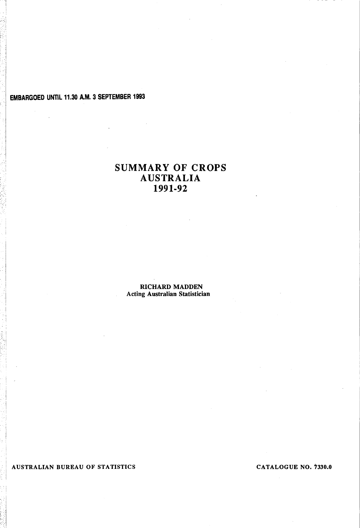# EMBARGOED UNTIL 11.30 A.M. 3 SEPTEMBER 1993

# SUMMARY OF CROPS AUSTRALIA 1991-92

RICHARD MADDEN Acting Australian Statistician

AUSTRALIAN BUREAU OF STATISTICS CATALOGUE NO. 7330.0

. , I :1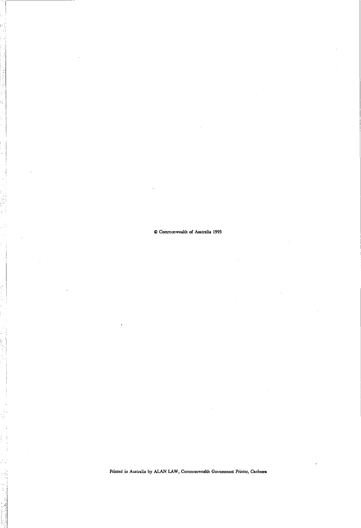#### © Commonwealth of Australia 1993

Printed in Australia by ALAN LAW, Commonwealth Government Printer, Canberra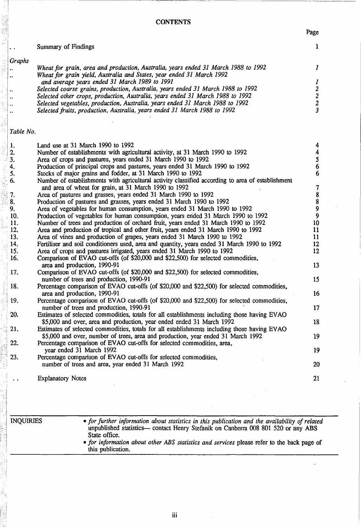**CONTENTS** 

Page

1

1

13

20

21

|                      | <b>Summary of Findings</b>                                                                                                                                 |
|----------------------|------------------------------------------------------------------------------------------------------------------------------------------------------------|
| Graphs               |                                                                                                                                                            |
|                      | Wheat for grain, area and production, Australia, years ended 31 March 1988 to 1992                                                                         |
|                      | Wheat for grain yield, Australia and States, year ended 31 March 1992                                                                                      |
|                      | and average years ended 31 March 1989 to 1991                                                                                                              |
| $\ddot{\phantom{a}}$ | Selected coarse grains, production, Australia, years ended 31 March 1988 to 1992                                                                           |
|                      | Selected other crops, production, Australia, years ended 31 March 1988 to 1992                                                                             |
|                      | Selected vegetables, production, Australia, years ended 31 March 1988 to 1992                                                                              |
|                      | Selected fruits, production, Australia, years ended 31 March 1988 to 1992                                                                                  |
|                      |                                                                                                                                                            |
| Table No.            |                                                                                                                                                            |
| 1.                   | Land use at 31 March 1990 to 1992                                                                                                                          |
| 2.                   | Number of establishments with agricultural activity, at 31 March 1990 to 1992                                                                              |
| 3.                   | Area of crops and pastures, years ended 31 March 1990 to 1992                                                                                              |
| 4.                   | Production of principal crops and pastures, years ended 31 March 1990 to 1992                                                                              |
| 5.                   | Stocks of major grains and fodder, at 31 March 1990 to 1992                                                                                                |
| 6.                   | Number of establishments with agricultural activity classified according to area of establishment<br>and area of wheat for grain, at 31 March 1990 to 1992 |
| 7.                   | Area of pastures and grasses, years ended 31 March 1990 to 1992                                                                                            |
| 8.                   | Production of pastures and grasses, years ended 31 March 1990 to 1992                                                                                      |
| 9.                   | Area of vegetables for human consumption, years ended 31 March 1990 to 1992                                                                                |
| 10.                  | Production of vegetables for human consumption, years ended 31 March 1990 to 1992                                                                          |
| 11.                  | Number of trees and production of orchard fruit, years ended 31 March 1990 to 1992                                                                         |
| 12.                  | Area and production of tropical and other fruit, years ended 31 March 1990 to 1992                                                                         |
| 13.                  | Area of vines and production of grapes, years ended 31 March 1990 to 1992                                                                                  |
| 14.                  | Fertiliser and soil conditioners used, area and quantity, years ended 31 March 1990 to 1992                                                                |

15. Area of crops and pastures irrigated, years ended 31 March 1990 to 1992

#### • 16. Comparison of EVAO cut-offs (of \$20,000 and \$22,500) for selected commodities, area and production, 1990-91

17. Comparison of EV AO cut-offs (of \$20,000 and \$22,500) for selected commodities, number of trees and production, 1990-91

.: 18. ····i 19. ! .20. .~ 21. 22. Percentage comparison of EVAO cut-offs (of \$20,000 and \$22,500) for selected commodities, area and production, 1990-91 Percentage comparison of EV AO cut-offs (of \$20,000 and \$22,500) for selected commodities, number of trees and production, 1990-91 Estimates of selected commodities, totals for all establishments including those having EVAO \$5,000 and over, area and production, year ended ended 31 March 1992 Estimates of selected commodities, totals for all establishments including those having EV AO \$5,000 and over, number of trees, area and production, year ended 31 March 1992 Percentage comparison of EV AO cut-offs for selected commodities, area, year ended 31 March 1992 15 16 17 18 19 19

23. Percentage comparison of EVAO cut-offs for selected commodities, number of trees and area, year ended 31 March 1992

Explanatory Notes

INQUIRIES *• for further information about statistics in this publication and the availability of related*  unpublished statistics- contact Henry Stefanik on Canberra 008 801 520 or any ABS State office.

*• for information about other ABS statistics and services* please refer to the back page of this publication.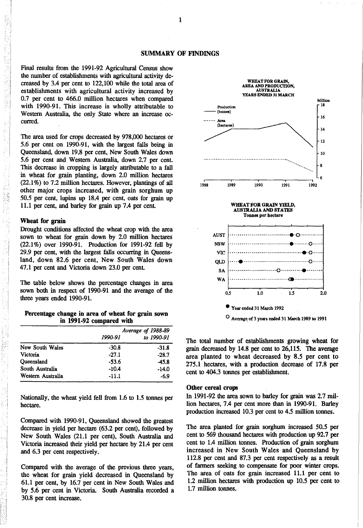Final results from the 1991-92 Agricultural Census show the number of establishments with agricultural activity decreased by 3.4 per cent to 122,100 while the total area of establishments with agricultural activity increased by 0.7 per cent to 466.0 million hectares when compared with 1990-91. This increase is wholly attributable to Western Australia, the only State where an increase occurred.

The area used for crops decreased by 978,000 hectares or 5.6 per cent on 1990-91, with the largest falls being in Queensland, down 19.8 per cent, New South Wales down 5.6 per cent and Western Australia, down 2.7 per cent. This decrease in cropping is largely attributable to a fall in wheat for grain planting, down 2.0 million hectares (22.1 %) to 7.2 million hectares. However, plantings of all other major crops increased, with grain sorghum up 50.5 per cent, lupins up 18.4 per cent, oats for grain up 11.1 per cent, and barley for grain up 7.4 per cent.

## Wheat for grain

Drought conditions affected the wheat crop with the area sown to wheat for grain down by 2.0 million hectares (22.1%) over 1990-91. Production for 1991-92 fell by 29.9 per cent, with the largest falls occurring in Queensland, down 82.6 per cent, New South Wales down 47.1 per cent and Victoria down 23.0 per cent.

The table below shows the percentage changes in area sown both in respect of 1990-91 and the average of the three years ended 1990-91.

Percentage change in area of wheat for grain sown in 1991·92 compared with

|                   |         | Average of 1988-89 |
|-------------------|---------|--------------------|
|                   | 1990-91 | to 1990-91         |
| New South Wales   | $-30.8$ | $-31.8$            |
| Victoria          | $-27.1$ | $-28.7$            |
| Queensland        | $-53.6$ | $-45.8$            |
| South Australia   | $-10.4$ | $-14.0$            |
| Western Australia | $-11.1$ | $-6.9$             |

Nationally, the wheat yield fell from 1.6 to 1.5 tonnes per hectare.

Compared with 1990-91, Queensland showed the greatest decrease in yield per hectare (63.2 per cent), followed by New South Wales (21.1 per cent), South Australia and Victoria increased their yield per hectare by 21.4 per cent and 6.3 per cent respectively.

Compared with the average of the previous three years, the wheat for grain yield decreased in Queensland by 61.1 per cent, by 16.7 per cent in New South Wales and by 5.6 per cent in Victoria. South Australia recorded a 30.8 per cent increase.



o Average, of 3 years ended 31 Marob 1989 to <sup>1991</sup>

The total number of establishments growing wheat for grain decreased by 14.8 per cent to 26,115. The average area planted to wheat decreased by 8.5 per cent to 275.1 hectares, with a production decrease of 17.8 per cent to 404.3 tonnes per establishment.

## Other cereal crops

In 1991-92 the area sown to barley for grain was 2.7 million hectares, 7.4 per cent more than in 1990-91. Barley production increased 10.3 per cent to 4.5 million tonnes.

The area planted for grain sorghum increased 50.5 per cent to 569 thousand hectares with production up 92.7 per cent to 1.4 million tonnes. Production of grain sorghum increased in New South Wales and Queensland by 112.8 per cent and 87.3 per cent respectively as a result of fanners seeking to compensate for poor winter crops. The area of oats for grain increased 11.1 per cent to 1.2 million hectares with production up 10.5 per cent to 1.7 million tonnes.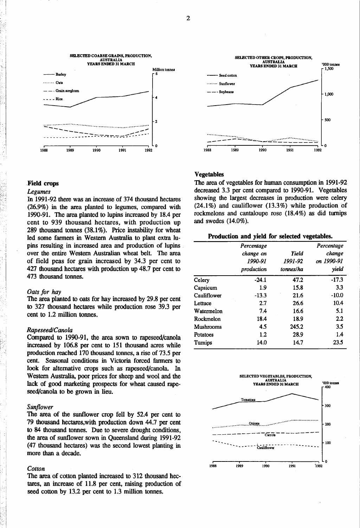

#### .Field crops

#### *Legumes*

In 1991-92 there was an increase of 374 thousand hectares (26.9%) in the area planted to legumes, compared with 1990-91. The area planted to lupins increased by 18.4 per cent to 939 thousand hectares, with production up 289 thousand tonnes  $(38.1\%)$ . Price instability for wheat led some farmers in Western Australia to plant extra lupins resulting in increased area and production of lupins over the entire Western Australian wheat belt. The area of field peas for grain increased by 34.3 per cent to 427 thousand hectares with production up 48.7 per cent to 473 thousand tonnes.

## *Oats for hay*

The area planted to oats for hay increased by 29.8 per cent to 327 thousand hectares while production rose 39.3 per cent to 1.2 million tonnes.

## *Rapeseed/Canola*

Compared to 1990-91, the area sown to rapeseed/canola increased by 106.8 per cent to 151 thousand acres while production reached 170 thousand tonnes, a rise of 73.5 per cent. Seasonal conditions in Victoria forced farmers to look for alternative crops such as rapeseed/canola. In Western Australia, poor prices for sheep and wool and the lack of good marketing prospects for wheat caused rapeseed/canola to be grown in lieu.

## *Sunflower*

The area of the sunflower crop fell by 52.4 per cent to 79 thousand hectares,with production down 44.7 per cent to 84 thousand tonnes. Due to severe drought conditions, the area of sunflower sown in Queensland during 1991-92 (47 thousand hectares) was the second lowest planting in more than a decade.

## *Cotton*

The area of cotton planted increased to 312 thousand hectares, an increase of 11.8 per cent, raising production of seed cotton by 13.2 per cent to 1.3 million tonnes.



## Vegetables

The area of vegetables for human consumption in 1991-92 decreased 3.3 per cent compared to 1990-91. Vegetables showing the largest decreases in production were celery  $(24.1\%)$  and cauliflower  $(13.3\%)$  while production of rockmelons and cantaloupe rose (18.4%) as did turnips and swedes (14.0%).

## Production and yield for selected vegetables.

|             | Percentage<br>change on<br>1990-91<br>production | Yield<br>1991-92<br>tonnes/ha | Percentage<br>change<br>on 1990-91<br>yield |
|-------------|--------------------------------------------------|-------------------------------|---------------------------------------------|
| Celery      | $-24.1$                                          | 47.2                          | $-17.3$                                     |
| Capsicum    | 1.9                                              | 15.8                          | 3.3                                         |
| Cauliflower | $-13.3$                                          | 21.6                          | $-10.0$                                     |
| Lettuce     | 2.7                                              | 26.6                          | 10.4                                        |
| Watermelon  | 7.4                                              | 16.6                          | 5.1                                         |
| Rockmelon   | 18.4                                             | 18.9                          | $2.2\,$                                     |
| Mushrooms   | 4.5                                              | 245.2                         | 3.5                                         |
| Potatoes    | $1.2\,$                                          | 28.9                          | 1.4                                         |
| Turnips     | 14.0                                             | 14.7                          | 23.5                                        |

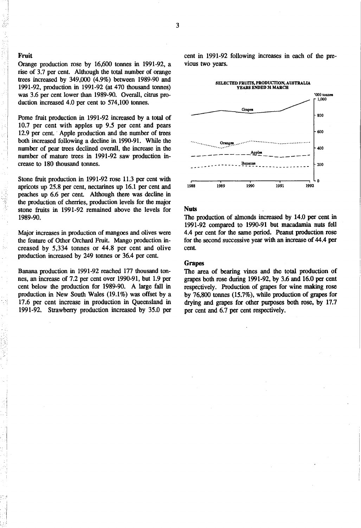## Fruit

Orange production rose by 16,600 tonnes in 1991-92, a rise of 3.7 per cent. Although the total number of orange trees increased by 349,000 (4.9%) between 1989-90 and 1991-92, production in 1991-92 (at 470 thousand tonnes) was 3.6 per cent lower than 1989-90. Overall, citrus production increased 4.0 per cent to 574,100 tonnes.

Pome fruit production in 1991-92 increased by a total of 10.7 per cent with apples up 9.5 per cent and pears 12.9 per cent. Apple production and the number of trees both increased following a decline in 1990-91. While the number of pear trees declined overall, the increase in the number of mature trees in 1991-92 saw production increase to 180 thousand tonnes.

Stone fruit production in 1991-92 rose 11.3 per cent with apricots up 25.8 per cent, nectarines up 16.1 per cent and peaches up 6.6 per cent. Although there was decline in the production of cherries, production levels for the major stone fruits in 1991-92 remained above the levels for 1989-90.

Major increases in production of mangoes and olives were the feature of Other Orchard Fruit. Mango production increased by 5,334 tonnes or 44.8 per cent and olive production increased by 249 tonnes or 36.4 per cent.

Banana production in 1991-92 reached 177 thousand tonnes, an increase of 7.2 per cent over 1990-91, but 1.9 per cent below the production for 1989-90. A large fall in production in New South Wales (19.1%) was offset by a 17.6 per cent increase in production in Queensland in 1991-92. Strawberry production increased by 35.0 per cent in 1991-92 following increases in each of the previous two years.



## Nuts

The production of almonds increased by 14.0 per cent in 1991-92 compared to 1990-91 but macadamia nuts fell 4.4 per cent for the same period. Peanut production rose for the second successive year with an increase of 44.4 per cent.

## **Grapes**

The area of bearing vines and the total production of grapes both rose during 1991-92, by 3.6 and 16.0 per cent respectively. Production of grapes for wine making rose by 76,800 tonnes (15.7%), while production of grapes for drying and grapes for other pwposes both rose, by 17.7 per cent and 6.7 per cent respectively.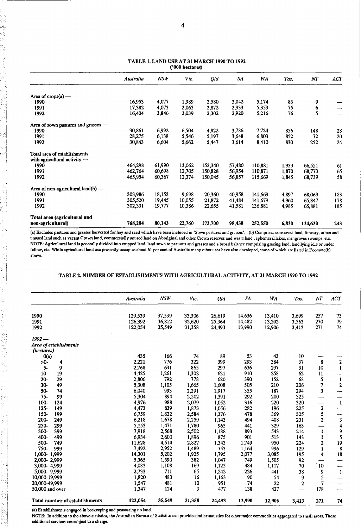|                                      | Australia | <b>NSW</b> | Vic.   | Qld     | SA     | WA      | Tas.  | NT      | ACT    |
|--------------------------------------|-----------|------------|--------|---------|--------|---------|-------|---------|--------|
| Area of $crops(a)$ —                 |           |            |        |         |        |         |       |         |        |
| 1990                                 | 16,953    | 4,077      | 1,989  | 2,580   | 3,042  | 5,174   | 83    | 9       |        |
| 1991                                 | 17,382    | 4,073      | 2.063  | 2,872   | 2,933  | 5,359   | 75    | 6       |        |
| 1992                                 | 16,404    | 3,846      | 2,039  | 2,302   | 2,920  | 5,216   | 76    | 5       |        |
| Area of sown pastures and grasses -  |           |            |        |         |        |         |       |         |        |
| 1990                                 | 30,861    | 6,992      | 6,504  | 4,822   | 3,786  | 7,724   | 856   | 148     | 28     |
| 1991                                 | 28,275    | 6,138      | 5,546  | 5,197   | 3,648  | 6,803   | 852   | 72      | $20\,$ |
| 1992                                 | 30,843    | 6,604      | 5,662  | 5,447   | 3,614  | 8,410   | 830   | 252     | 24     |
| Total area of establishments         |           |            |        |         |        |         |       |         |        |
| with agricultural activity $-$       |           |            |        |         |        |         |       |         |        |
| 1990                                 | 464,298   | 61,990     | 13,062 | 152,340 | 57,480 | 110,881 | 1,933 | 66,551  | 61     |
| 1991                                 | 462,764   | 60,698     | 12,705 | 150,828 | 56,954 | 110,871 | 1,870 | 68,773  | 65     |
| 1992                                 | 465,954   | 60,367     | 12,374 | 150,045 | 56,857 | 115,669 | 1,845 | 68,739  | 58     |
| Area of non-agricultural land(b) $-$ |           |            |        |         |        |         |       |         |        |
| 1990                                 | 303,986   | 18,153     | 9,698  | 20,360  | 40,958 | 141.669 | 4,897 | 68,069  | 183    |
| 1991                                 | 305,520   | 19,445     | 10,055 | 21,872  | 41,484 | 141,679 | 4,960 | 65,847  | 178    |
| 1992                                 | 302,331   | 19,777     | 10,386 | 22,655  | 41,581 | 136,881 | 4,985 | 65,881  | 185    |
| Total area (agricultural and         |           |            |        |         |        |         |       |         |        |
| non-agricultural)                    | 768,284   | 80,143     | 22,760 | 172,700 | 98,438 | 252,550 | 6,830 | 134,620 | 243    |

#### TABLE 1. LAND USE AT 31 MARCH 1990 TO 1992 ('000 hectares)

(a) Excludes pastures and grasses harvested for hay and seed which have been included in 'Sown pastures and grasses'. (b) Comprises conserved land, forestry, urban and unused land such as vacant Crown land, commercially unused land on Abonginal and other Crown reserves and waste land, ephemeral lakes, mangroves swamps, etc. NOTE: Agricultural land is generally divided into cropped land, land sown to pastures and grasses and a broad balance comprising grazing land, land lying idle or under fallow, etc. While agriculturailand use presently occupies about 61 per cent of Australia many other uses have also developed, some of which are listed in Footnote(b) above.

## TABLE 2. NUMBER OF ESTABLISHMENTS WITH AGRICULTURAL ACTIVITY, AT 31 MARCH 1990 TO 1992

|                                      | Australia | <b>NSW</b> | Vic.   | Qld    | SA     | WA     | Tas.        | NT                       | ACT          |
|--------------------------------------|-----------|------------|--------|--------|--------|--------|-------------|--------------------------|--------------|
| 1990                                 | 129,539   | 37,539     | 33,306 | 26,619 | 14,636 | 13,410 | 3,699       | 257                      | 73           |
| 1991                                 | 126,392   | 36,812     | 32,620 | 25,364 | 14,482 | 13,202 | 3,563       | 270                      | 79           |
| 1992                                 | 122,054   | 35,549     | 31,358 | 24,493 | 13,990 | 12,906 | 3,413       | 271                      | 74           |
| $1992 -$                             |           |            |        |        |        |        |             |                          |              |
| Area of establishments<br>(hectares) |           |            |        |        |        |        |             |                          |              |
| O(a)                                 | 435       | 166        | 74     | 89     | 53     | 43     | 10          |                          |              |
| >0-<br>4                             | 2,221     | 776        | 322    | 399    | 293    | 384    | 37          | 8                        | $\mathbf 2$  |
| $5-$<br>9                            | 2,768     | 631        | 865    | 297    | 636    | 297    | 31          | 10                       |              |
| 19<br>$10-$                          | 4,425     | 1,261      | 1,302  | 621    | 910    | 258    | 62          | 11                       |              |
| 29<br>$20 -$                         | 2,806     | 792        | 778    | 620    | 390    | 152    | 68          | 5                        |              |
| $30 -$<br>49                         | 5,308     | 1,105      | 1,665  | 1,608  | 505    | 210    | 206         | 7                        | $\mathbf 2$  |
| 50-<br>74                            | 6,040     | 993        | 2,291  | 1,917  | 355    | 187    | 294         | 3                        |              |
| $75-$<br>99                          | 5,304     | 894        | 2,202  | 1,391  | 292    | 200    | 325         | $\overline{\phantom{0}}$ |              |
| 100-<br>124                          | 4,976     | 988        | 2,079  | 1,052  | 316    | 220    | 320         | —                        | 1            |
| $125 -$<br>149                       | 4,473     | 839        | 1,873  | 1,056  | 282    | 196    | 225         | $\overline{\mathbf{c}}$  |              |
| 150-<br>199                          | 6,759     | 1,622      | 2,584  | 1,376  | 478    | 369    | 325         | 5                        |              |
| 200-<br>249                          | 6,218     | 1,678      | 2,259  | 1,143  | 494    | 408    | 231         | $\mathbf{2}$             | 3            |
| 250-<br>299                          | 5,153     | 1,471      | 1,780  | 965    | 441    | 329    | 163         | $\overline{\phantom{0}}$ | 4            |
| 300-<br>399                          | 7,918     | 2,568      | 2,502  | 1,188  | 893    | 543    | 214         | 1                        | 9            |
| 400-<br>499                          | 6,934     | 2,600      | 1,896  | 875    | 901    | 513    | 143         | $\mathbf{1}$             | 5            |
| 500-<br>749                          | 11,628    | 4,514      | 2,827  | 1,343  | 1,749  | 950    | 224         | $\mathbf{z}$             | 19           |
| 750-<br>999                          | 7,492     | 2,952      | 1,489  | 753    | 1,164  | 996    | 129         | 1                        | 8            |
| 1,000-1,999                          | 14,301    | 5,202      | 1,925  | 1,795  | 2,077  | 3,085  | 195         | 4                        | 18           |
| 2,000-2,999                          | 5,365     | 1,590      | 382    | 1,047  | 749    | 1,505  | 92          |                          |              |
| 3,000-4,999                          | 4,083     | 1,108      | 169    | 1,125  | 484    | 1,117  | 70          | 10 <sub>1</sub>          |              |
| 5,000-9,999                          | 2,733     | 711        | 65     | 1,242  | 226    | 441    | 38          | 9                        | $\mathbf{1}$ |
| 10,000-19.999                        | 1,820     | 483        | 16     | 1,163  | 90     | 54     | 9           | 5                        |              |
| 20,000-49,999                        | 1,547     | 481        | 10     | 951    | 74     | 22     | $\mathbf 2$ | $\overline{7}$           |              |
| 50,000 and over                      | 1,347     | 124        | 3      | 477    | 138    | 427    |             | 178                      |              |
| Total number of establishments       | 122,054   | 35,549     | 31,358 | 24,493 | 13,990 | 12,906 | 3,413       | 271                      | 74           |

(a) Establishments engaged in beekeeping and possessing no land.<br>NOTE: In addition to the above statistics, the Australian Bureau of Statistics can provide similar statistics for other major commodities aggregated to small  $\frac{1}{\sqrt{1-\frac{1}{n}}}$  additional services are subject to a charge.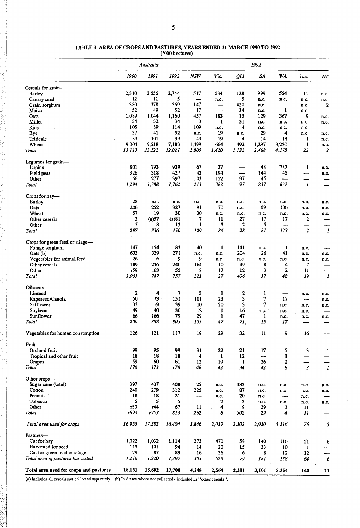|                                        |             | Australia |           |            |                          |         | 1992     |              |                      |                  |
|----------------------------------------|-------------|-----------|-----------|------------|--------------------------|---------|----------|--------------|----------------------|------------------|
|                                        | 1990        | 1991      | 1992      | <b>NSW</b> | Vic.                     | Qld     | SA       | WA           | Tas.                 | NT               |
| Cereals for grain—                     |             |           |           |            |                          |         |          |              |                      |                  |
| Barley                                 | 2,310       | 2,556     | 2,744     | 517        | 534                      | 128     | 999      | 554          | 11                   | n.c.             |
| Canary seed                            | 12          | 11        | 5         |            | n.c.                     | 5       | n.c.     | n.c.         | n.c.                 | n.c.             |
| Grain sorghum                          | 380         | 378       | 569       | 147        | —                        | 420     | n.c.     | —            | n.c.                 | 2                |
| Maize                                  | 52          | 49        | 52        | 17         | $\overline{\phantom{0}}$ | 34      | n.c.     | $\mathbf{1}$ | n.c.                 | --               |
| Oats                                   | 1,089       | 1,044     | 1,160     | 457        | 183                      | 15      | 129      | 367          | 9                    | n.c.             |
| Millet                                 | 34          | 32        | 34        | 3          | 1                        | 31      | n.c.     | n.c.         | n.c.                 | n.c.             |
| Rice                                   | 105         | 89        | 114       | 109        | n.c.                     | 4       | n.c.     | n.c.         | п.с.                 | -                |
| Rye                                    | 37          | 41        | 52        | n.c.       | 19                       | n.c.    | 29       | 4            | n.c.                 | n.c.             |
| Triticale                              | 89          | 101       | 99        | 43         | 19                       | 4       | 14       | 18           | 1                    | n.c.             |
| Wheat                                  | 9,004       | 9,218     | 7,183     | 1,499      | 664                      | 492     | 1,297    | 3,230        | 1                    | n.c.             |
| Total                                  | 13,113      | 13,522    | 12,021    | 2,800      | 1,420                    | 1,132   | 2,468    | 4,175        | 23                   | 2                |
| Legumes for grain-                     |             |           |           |            |                          |         |          |              |                      |                  |
| Lupins                                 | 801         | 793       | 939       | 67         | 37                       |         | 48       | 787          | 1                    | n.c.             |
| Field peas                             | 326         | 318       | 427       | 43         | 194                      |         | 144      | 45           | ---                  | n.c.             |
| Other                                  | 166         | 277       | 397       | 103        | 152                      | 97      | 45       |              |                      |                  |
| Total                                  | 1,294       | 1,388     | 1,762     | 213        | 382                      | 97      | 237      | 832          | $\boldsymbol{l}$     |                  |
| Crops for hay—                         |             |           |           |            |                          |         |          |              |                      |                  |
| Barley                                 | 28          | n.c.      | n.c.      | n.c.       | n.c.                     | n.c.    | n.c.     | n.c.         | n.c.                 | n.c.             |
| <b>Oats</b>                            | 206         | 252       | 327       | 91         | 70                       | n.c.    | 59       | 106          | n.c.                 | n.c.             |
| Wheat                                  | 57          | 19        | 30        | 30         | n.c.                     | n.c.    | n.c.     | n.c.         | n.c.                 | n.c.             |
| Other cereals                          | 3           | (a)57     | (a) 81    | 7          | 11                       | 27      | 17       | 17           | 2                    |                  |
| Other                                  | 5           | 8         | 13        | 1          | 5                        | 2       | 5        | -            |                      |                  |
| Total                                  | 297         | 336       | 450       | 129        | 86                       | 28      | 81       | 123          | 2                    | 1                |
| Crops for green feed or silage-        |             |           |           |            |                          |         |          |              |                      |                  |
| Forage sorghum                         | 147         | 154       | 183       | 40         | 1                        | 141     | n.c.     | 1            | n.c.                 |                  |
| Oats (b)                               | 633         | 329       | 271       | n.c.       | n.c.                     | 204     | 26       | 41           | n.c.                 | n.c.             |
| Vegetables for animal feed             | 26          | 6         | 9         | 9          | n.c.                     | n.c.    | n.c.     | n.c.         | п.с.                 | n.c.             |
| Other cereals                          | 189         | 236       | 240       | 164        | 10                       | 49      | 8        | 4            | 7                    |                  |
| Other                                  | r59         | т63       | 55        | 8          | 17                       | 12      | 3        | 2            | 11                   |                  |
| Total                                  | 1,053       | 787       | 757       | 221        | 27                       | 406     | 37       | 48           | 19                   | 1                |
| Oilseeds—                              |             |           |           |            |                          |         |          |              |                      |                  |
| Linseed                                | $\mathbf 2$ | 4         | 7         | 3          | 1                        | 2       | 1        |              | n.c.                 | п.с.             |
| Rapeseed/Canola                        | 50          | 73        | 151       | 101        | 23                       | 3       | 7        | 17           | ---                  | n.c.             |
| Safflower                              | 33          | 19        | 39        | 10         | 20                       | 3       | 7        | n.c.         | n.c.                 | n.c.             |
| Soybean                                | 49          | 40        | 30        | 12         | 1                        | 16      | n.c.     | n.c.         | n.c.                 |                  |
| Sunflower                              | 66          | 166       | 79        | 29         | 1                        | 47      | 1        | n.c.         | n.c.                 | n.c.             |
| Total                                  | 200         | 302       | 305       | 155        | 47                       | 71.     | 15       | 17           |                      |                  |
|                                        |             |           |           |            |                          |         |          |              |                      |                  |
| Vegetables for human consumption       | 126         | 121       | 117       | 19         | 29                       | 32      | 11       | 9            | 16                   |                  |
| Fruit —                                |             |           |           |            |                          |         |          |              |                      |                  |
| Orchard fruit                          | 99          | 95        | 99        | 31         | 22                       | 21      | 17       | 5            | 3                    | 1                |
| Tropical and other fruit               | 18          | 18        | 18        | 4          | 1                        | 12      | --       | 1            |                      |                  |
| Grapes<br>Total                        | 59<br>176   | 60<br>173 | 61<br>178 | 12<br>48   | 19<br>42                 | 1<br>34 | 26<br>42 | 2<br>8       | $\boldsymbol{\beta}$ | $\boldsymbol{l}$ |
|                                        |             |           |           |            |                          |         |          |              |                      |                  |
| Other crops—                           |             |           |           |            |                          |         |          |              |                      |                  |
| Sugar cane (total)                     | 397         | 407       | 408       | 25         | n.c.                     | 383     | n.c.     | n.c.         | n.c.                 | n.c.             |
| Cotton                                 | 240         | 279       | 312       | 225        | n.c.                     | 87      | n.c.     | n.c.         | n.c.                 | n.c.             |
| Peanuts                                | 18          | 18        | 21        |            | n.c.                     | 20      | п.с.     |              | n.c.                 |                  |
| Tobacco                                | 5           | 5         | 5         | —          | 2                        | 3       | n.c.     | n.c.         | n.c.                 | n.c.             |
| Other                                  | r33         | т44       | 67        | 11         | 4                        | 9       | 29       | 3            | 11                   |                  |
| Total                                  | r693        | r753      | 813       | 262        | 6                        | 502     | 29       | 4            | 11                   |                  |
| Total area used for crops              | 16,953      | 17,382    | 16,404    | 3,846      | 2,039                    | 2,302   | 2,920    | 5,216        | 76                   | 5                |
| Pastures—                              |             |           |           |            |                          |         |          |              |                      |                  |
| Cut for hay                            | 1,022       | 1,032     | 1,114     | 273        | 470                      | 58      | 140      | 116          | 51                   | 6                |
| Harvested for seed                     | 115         | 101       | 94        | 14         | 20                       | 15      | 33       | 10           | 1                    |                  |
| Cut for green feed or silage           | 79          | 87        | 89        | 16         | 36                       | 6       | 8        | 12           | 12                   |                  |
| Total area of pastures harvested       | 1,216       | 1,220     | 1,297     | 303        | 526                      | 79      | 181      | 138          | 64                   | 6                |
| Total area used for crops and pastures | 18,131      | 18,602    | 17,700    | 4,148      | 2,564                    | 2,381   | 3,101    | 5,354        | 140                  | 11               |

#### TABLE 3. AREA OF CROPS AND PASTURES, YEARS ENDED 31 MARCH 1990 TO 1992 ('000 hectares)

(a) Includes all cereals not collected separately. (b) In States where not collected - included in "other cereals".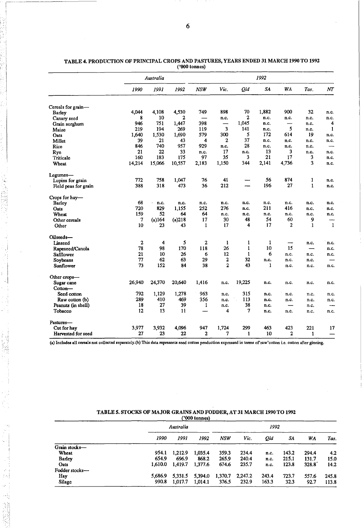|                      |              | Australia |        |              |                          |              | 1992  |              |                          |              |
|----------------------|--------------|-----------|--------|--------------|--------------------------|--------------|-------|--------------|--------------------------|--------------|
|                      | 1990         | 1991      | 1992   | <b>NSW</b>   | Vic.                     | Qld          | SA    | WA           | Tas.                     | NT           |
| Cereals for grain-   |              |           |        |              |                          |              |       |              |                          |              |
| Barley               | 4,044        | 4,108     | 4,530  | 749          | 898                      | 70           | 1,882 | 900          | 32                       | n.c.         |
| Canary seed          | 8            | 10        | 2      |              | n.c.                     | $\mathbf{2}$ | n.c.  | n.c.         | n.c.                     | n.c.         |
| Grain sorghum        | 946          | 751       | 1,447  | 398          | $\overline{\phantom{0}}$ | 1,045        | n.c.  | —            | n.c.                     | 4            |
| Maize                | 219          | 194       | 269    | 119          | 3                        | 141          | n.c.  | 5            | n.c.                     | $\mathbf{1}$ |
| Oats                 | 1,640        | 1,530     | 1,690  | 579          | 300                      | 5            | 172   | 614          | 19                       | n.c.         |
| Millet               | 39           | 21        | 43     | 4            | 2                        | 37           | n.c.  | n.c.         | n.c.                     | n.c.         |
| Rice                 | 846          | 740       | 957    | 929          | n.c.                     | 28           | n.c.  | n.c.         | n.c.                     |              |
| Rye                  | 21           | 22        | 33     | n.c.         | 17                       | n.c.         | 13    | 3            | n.c.                     | n.c.         |
| Triticale            | 160          | 183       | 175    | 97           | 35                       | 3            | 21    | 17           | 3                        | n.c.         |
| Wheat                | 14,214       | 15,066    | 10,557 | 2,183        | 1,150                    | 344          | 2,141 | 4,736        | 3                        | n.c.         |
| Legumes-             |              |           |        |              |                          |              |       |              |                          |              |
| Lupins for grain     | 772          | 758       | 1,047  | 76           | 41                       |              | 56    | 874          | $\mathbf{1}$             | n.c.         |
| Field peas for grain | 388          | 318       | 473    | 36           | 212                      |              | 196   | 27           | $\mathbf{1}$             | n.c.         |
| Crops for hay-       |              |           |        |              |                          |              |       |              |                          |              |
| <b>Barley</b>        | 68           | n.c.      | n.c.   | n.c.         | n.c.                     | n.c.         | n.c.  | n.c.         | n.c.                     | n.c.         |
| Oats                 | 720          | 829       | 1,155  | 252          | 276                      | n.c.         | 211   | 416          | n.c.                     | n.c.         |
| Wheat                | 159          | 52        | 64     | 64           | n.c.                     | n.c.         | n.c.  | n.c.         | n.c.                     | n.c.         |
| Other cereals        | 7            | (a)164    | (a)218 | 17           | 30                       | 48           | 54    | 60           | 9                        |              |
| Other                | 10           | 23        | 43     | $\mathbf{1}$ | 17                       | 4            | 17    | 2            | $\mathbf{1}$             | $\mathbf{1}$ |
| Oilseeds-            |              |           |        |              |                          |              |       |              |                          |              |
| Linseed              | $\mathbf{2}$ | 4         | 5      | 2            | $\mathbf{1}$             | 1            | 1     | -            | n.c.                     | n.c.         |
| Rapeseed/Canola      | 78           | 98        | 170    | 118          | 26                       | $\mathbf{1}$ | 10    | 15           | $\overline{\phantom{0}}$ | n.c.         |
| Safflower            | 21           | 10        | 26     | 6            | 12                       | 1            | 6     | n.c.         | n.c.                     | n.c.         |
| Soybeans             | 77           | 62        | 63     | 29           | 2                        | 32           | n.c.  | n.c.         | n.c.                     |              |
| Sunflower            | 73           | 152       | 84     | 38           | $\mathbf{2}$             | 43           | 1     | n.c.         | n.c.                     | n.c.         |
| Other crops-         |              |           |        |              |                          |              |       |              |                          |              |
| Sugar cane           | 26,940       | 24,370    | 20,640 | 1,416        | n.c.                     | 19,225       | n.c.  | n.c.         | n.c.                     | n.c.         |
| Cotton-              |              |           |        |              |                          |              |       |              |                          |              |
| Seed cotton          | 792          | 1,129     | 1,278  | 963          | n.c.                     | 315          | n.c.  | n.c.         | n.c.                     | n.c.         |
| Raw cotton (b)       | 289          | 410       | 469    | 356          | n.c.                     | 113          | n.c.  | n.c.         | n.c.                     | n.c.         |
| Peanuts (in shell)   | 18           | 27        | 39     | 1            | n.c.                     | 38           | n.c.  |              | n.c.                     | ---          |
| Tobacco              | 12           | 13        | 11     |              | 4                        | 7            | n.c.  | n.c.         | n.c.                     | n.c.         |
| Pastures-            |              |           |        |              |                          |              |       |              |                          |              |
| Cut for hay          | 3,977        | 3,932     | 4,096  | 947          | 1,724                    | 299          | 463   | 423          | 221                      | 17           |
| Harvested for seed   | 27           | 23        | 22     | $\mathbf{2}$ | 7                        | 1            | 10    | $\mathbf{2}$ | 1                        |              |

TABLE 4. PRODUCTION OF PRINCIPAL CROPS AND PASTURES, YEARS ENDED 31 MARCH 1990 TO 1992 ('000 tonnes)

(a) Includes all cereals not collected separately.(b) This data represents seed cotton production expressed in terms of raw'cotton i.e. cotton after ginning.

|                | 1990    | 1991    | 1992                 | <b>NSW</b>    | Vic.    | Qld   | SA    | WA    | Tas.  |
|----------------|---------|---------|----------------------|---------------|---------|-------|-------|-------|-------|
| Grain stocks-  |         |         |                      |               |         |       |       |       |       |
| Wheat          | 954.1   | 1,212.9 | 1.035.4              | 359.3         | 234.4   | n.c.  | 143.2 | 294.4 | 4.2   |
| Barley         | 654.9   | 696.9   | 868.2                | 265.9         | 240.4   | л.с.  | 215.1 | 131.7 | 15.0  |
| Oats           | 1,610.0 | 1,419.7 | 1,377.6              | 674.6         | 235.7   | n.c.  | 123.8 | 328.8 | 14.2  |
| Fodder stocks- |         |         |                      |               |         |       |       |       |       |
| Hay            |         | 5,331.5 | 5,394.0              | 1,370.7       | 2,247.2 | 243.4 | 723.7 | 557.6 | 245.8 |
| Silage         | 990.8   | 1,017.7 | 1.014.1              | 376.5         | 232.9   | 163.3 | 32.3  | 92.7  | 113.8 |
|                |         |         | Australia<br>5.686.9 | ('000 tonnes) |         |       |       | 1992  |       |

## TABLE 5. STOCKS OF MAJOR GRAINS AND FODDER, AT 31 MARCH 1990 TO 1992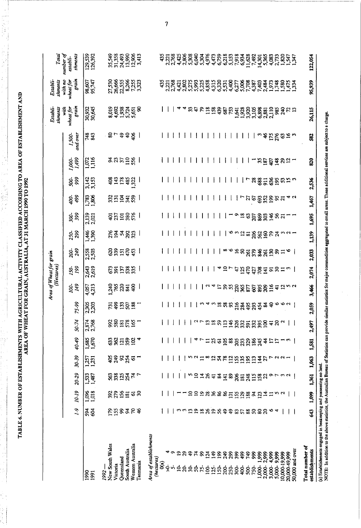| STARLISHMENTS WITH AGRICULTURAL ACTIVITY OF ASSIEUD ACCORDING TO AREA OF ESTARLISHMENT AND<br>AREA OF WHEAT FOR GRAIN AIKTRALIA AT 31 MARCH 1990 TO 1997<br>:<br>;<br>;<br><b>KET HINVIN TE TE</b><br><b>CONTROLLER AND ALLES</b><br>$\sim$ and $\sim$ and $\sim$ and $\sim$ and $\sim$ and $\sim$<br>IKEA UF WEEA I FUI<br><b>WAS NA</b><br>st bot filester is in the |
|------------------------------------------------------------------------------------------------------------------------------------------------------------------------------------------------------------------------------------------------------------------------------------------------------------------------------------------------------------------------|
|------------------------------------------------------------------------------------------------------------------------------------------------------------------------------------------------------------------------------------------------------------------------------------------------------------------------------------------------------------------------|

----- ------\_.\_--- -- -"--- ~ ------

|                                                                                                                                                                                                                                                                             |                 |                                                                |                      |                       |                    |                 |                                 |                                    | Area of Wheat for grain<br>(Hectares) |                |              |                 |                |                |                    |                         | Establi-<br>shments                   | shments<br>Establi-              | Total                                                     |   |
|-----------------------------------------------------------------------------------------------------------------------------------------------------------------------------------------------------------------------------------------------------------------------------|-----------------|----------------------------------------------------------------|----------------------|-----------------------|--------------------|-----------------|---------------------------------|------------------------------------|---------------------------------------|----------------|--------------|-----------------|----------------|----------------|--------------------|-------------------------|---------------------------------------|----------------------------------|-----------------------------------------------------------|---|
|                                                                                                                                                                                                                                                                             | $0 - 1$         | 10-19                                                          | 20-29                | 30-39                 | 4049               | 50.74           | 75-99                           | 149<br>$\approx$                   | 199<br>150-                           | 200-           | 299<br>250-  | 399<br>300-     | 499<br>400-    | 999<br>500-    | $1,000$<br>$1,499$ | and over<br>1,500-      | grain<br>with<br>wheat for            | grain<br>with no<br>wheat for    | number of<br>shments<br>establi-                          |   |
| 1990<br>1991                                                                                                                                                                                                                                                                | 58<br>84        | 1,096<br>1,018                                                 | $\frac{1,53}{1,487}$ | 1,257<br>1,231        | 1,685<br>1,670     | 2,874<br>2,768  | 2,305<br>2,203                  | 4,057<br>4,213                     | 2,643<br>2,619                        | 2,558<br>2,503 | 1,446        | 2,139<br>2,021  | 1,783<br>1,806 | 3,142<br>3,153 | $1,072$<br>$1,116$ | 743<br>843              | 30,932<br>30,645                      | 98,607<br>95,747                 | 129,539<br>126,392                                        |   |
| New South Wales<br>Western Australia<br>South Australia<br>Oueensland<br>Tasmania<br>Victoria<br>1992-                                                                                                                                                                      | Ensares         | 392<br>$\begin{array}{c} 156 \\ 181 \end{array}$<br><u>ថ</u> ន | ន្លន្តដង្ក<br>74     | ន្នន្ទង្គុច<br>Ξ      | និន្តដន្តដ         | 888282          | <b>Egnes</b>                    | <u>អ្នក ខ្លួន</u><br>$\frac{8}{3}$ | 5335<br>673<br>391                    | និដ្ឋក្នុង     | ន្ត្រីកន្ត្ត | ទំខែន័ឌ         | <b>SEZES</b>   | 89.588         | 3. 이 그 있는          | 6.68<br>$\frac{1}{2}$ . | <b>988345</b><br>Secrets<br>g         | <b>222222323</b><br>222222323232 | 3538<br>3538<br>35388<br>353884                           |   |
| Area of establishments<br>(hectares)<br>ළි                                                                                                                                                                                                                                  |                 |                                                                |                      |                       |                    |                 |                                 |                                    |                                       |                |              |                 |                |                |                    |                         |                                       | 435                              | 435                                                       |   |
| ↽<br>र्⇔                                                                                                                                                                                                                                                                    |                 |                                                                |                      |                       |                    |                 |                                 |                                    |                                       |                |              |                 |                |                |                    |                         |                                       | 2,221<br>2,768                   |                                                           | 7 |
| $\bullet$<br>$\mathbf{r}$<br>$\mathbf{v}$<br>$\leq$                                                                                                                                                                                                                         |                 |                                                                |                      |                       |                    |                 |                                 |                                    |                                       |                |              |                 |                |                |                    |                         |                                       |                                  | 116238634676                                              |   |
| $\boldsymbol{\mathcal{Z}}$<br>$\mathbf{a}$                                                                                                                                                                                                                                  | ຕຕໆຊ            |                                                                |                      |                       |                    |                 |                                 |                                    |                                       |                |              |                 |                |                |                    |                         | A                                     |                                  |                                                           |   |
| \$<br>\$                                                                                                                                                                                                                                                                    |                 | $\overline{a}$                                                 |                      |                       |                    |                 |                                 |                                    |                                       |                |              |                 |                |                |                    |                         |                                       |                                  |                                                           |   |
| $\mathbf{z}$<br>င္ဂ                                                                                                                                                                                                                                                         |                 | $\Xi$                                                          | $n \leq 18$          | <b>523</b>            |                    | $\frac{2}{7}$   |                                 |                                    |                                       |                |              |                 |                |                |                    |                         |                                       |                                  |                                                           |   |
| ន $\frac{8}{1}$<br>$\tilde{z}$                                                                                                                                                                                                                                              |                 |                                                                |                      |                       | $\overline{r}$     |                 |                                 |                                    |                                       |                |              |                 |                |                |                    |                         |                                       |                                  |                                                           |   |
| $\frac{3}{2}$<br>232                                                                                                                                                                                                                                                        | 282             | 288                                                            |                      | $\overline{a}$        | $\Xi$ $\Omega$     | $\frac{13}{18}$ | 4 W                             | U<br>4                             |                                       |                |              |                 |                |                |                    |                         | <b>អូកសត្តន៍ងូ</b> នស                 |                                  |                                                           |   |
| 199                                                                                                                                                                                                                                                                         |                 | 86                                                             |                      | 24                    |                    | 59              | 18                              | 11                                 |                                       |                |              |                 |                |                |                    |                         |                                       |                                  | 4,473<br>6,759<br>6,218                                   |   |
| 249<br>200<br>250                                                                                                                                                                                                                                                           | 56              | 8 <sup>o</sup>                                                 |                      | 78                    |                    | 113             | 88                              | 35                                 | $\vec{a}$                             |                |              |                 |                |                |                    |                         |                                       |                                  |                                                           |   |
| 39                                                                                                                                                                                                                                                                          | $\ddot{ }$      |                                                                |                      | $\frac{12}{5}$        |                    | 146             |                                 |                                    |                                       |                | ७            |                 |                |                |                    |                         |                                       |                                  |                                                           |   |
| 399<br>300                                                                                                                                                                                                                                                                  | $\frac{25}{57}$ |                                                                | 381                  |                       |                    | 326             | 216                             |                                    | $\ddot{4}$                            |                | 132          | o               |                |                |                    |                         |                                       |                                  |                                                           |   |
| 499<br>$400-$                                                                                                                                                                                                                                                               |                 |                                                                |                      | <b>SE1</b>            |                    |                 |                                 |                                    |                                       |                |              | $\overline{18}$ |                |                |                    |                         |                                       |                                  |                                                           |   |
| 86<br>749<br>750-<br>500-                                                                                                                                                                                                                                                   | <b>8888</b>     | 5.888                                                          | 248<br>15            | $\mathbf{S}$<br>$\Xi$ | <b>09888888</b>    | ដូនដង្កូន       | ន្តន្ទន្ន្ទ្ទ្ទន្ទ្             | <b>SEESSS</b>                      | <b>NEBEI</b>                          |                |              | $\mathcal{S}$   |                | $\overline{r}$ | T                  |                         | 1538888110<br>1938888110<br>193888110 |                                  | 5,533<br>5,934,832<br>5,934,832<br>5,935,833<br>5,938,833 |   |
| 1,999<br>1,000-                                                                                                                                                                                                                                                             |                 | 123                                                            | 158                  | $\overline{4}$        |                    |                 |                                 |                                    |                                       |                | ន្ត័ន្ធខ្នង  | <b>SSSE</b>     |                | 88282          |                    |                         |                                       |                                  |                                                           |   |
| 2,999<br>2,000-                                                                                                                                                                                                                                                             |                 | $\overline{4}$                                                 | $\boldsymbol{z}$     | 27                    | $\hat{\mathbf{r}}$ |                 |                                 |                                    |                                       |                |              |                 |                |                | 3282               | ო <del>დ</del>          |                                       |                                  |                                                           |   |
| 3,000-4,999                                                                                                                                                                                                                                                                 | v               | $\mathbf{r}$                                                   |                      | ↽                     |                    |                 |                                 | $\frac{16}{1}$                     |                                       |                |              |                 |                |                |                    |                         |                                       |                                  |                                                           |   |
| 5,000-9,999                                                                                                                                                                                                                                                                 | 4               |                                                                |                      |                       | <b>77</b>          | $\frac{4}{3}$   |                                 |                                    | 28                                    |                |              |                 |                |                |                    | 175                     | 985                                   |                                  |                                                           |   |
| 10,000-19,999                                                                                                                                                                                                                                                               |                 | n u                                                            | タケミク                 | $\sim$ $\sim$         |                    | $\mathbf{c}$    | $\mathbf{0} \bullet \mathbf{0}$ | $\frac{4}{3}$                      | ≍                                     |                |              | 56              |                |                |                    | S                       | $\mathcal{R}$                         |                                  |                                                           |   |
| 20,000 49,999                                                                                                                                                                                                                                                               |                 |                                                                |                      |                       |                    |                 |                                 |                                    |                                       |                |              |                 |                | ສ ລ            | <u>ສສ</u>          | $\overline{16}$         |                                       |                                  |                                                           |   |
| $50,000$ and over                                                                                                                                                                                                                                                           |                 |                                                                |                      |                       |                    |                 |                                 |                                    |                                       |                |              |                 |                |                |                    |                         |                                       |                                  | 282747                                                    |   |
| Total number of<br>establishments                                                                                                                                                                                                                                           | 543             | 1,099                                                          | 1,361                | 1,063                 | 1,581              | 2,497           | S,<br>2,0                       | 3,466                              | 2,074                                 | 2,033          | 1,139        | 1,695           | 1,467          | 2,536          | 820                | 582                     | 26,115                                | 95,939                           | 122,054                                                   |   |
|                                                                                                                                                                                                                                                                             |                 |                                                                |                      |                       |                    |                 |                                 |                                    |                                       |                |              |                 |                |                |                    |                         |                                       |                                  |                                                           |   |
| NOTE: In addition to the above statistics, the Australian Bureau of Statistics can provide smillars for major commodities aggregated to small areas. These additional services are subject to a charge.<br>(a) Establishments engaged in beek eeping and possessing no land |                 |                                                                |                      |                       |                    |                 |                                 |                                    |                                       |                |              |                 |                |                |                    |                         |                                       |                                  |                                                           |   |

 $\ddot{\phantom{a}}$ 

 $\frac{1}{2}$ 

l,

 $\overline{1}$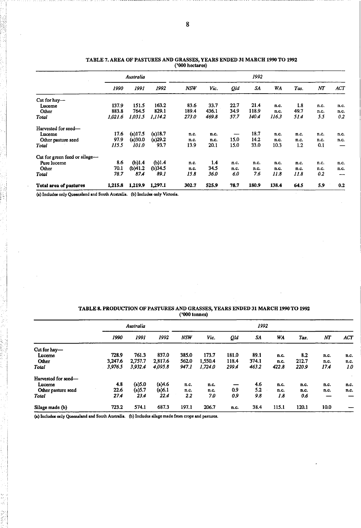|                               |         | Australia |            |            |       |      | 1992  |       |        |      |                          |
|-------------------------------|---------|-----------|------------|------------|-------|------|-------|-------|--------|------|--------------------------|
|                               | 1990    | 1991      | 1992       | <b>NSW</b> | Vic.  | Qld  | SA    | WA    | Tas.   | NΤ   | ACT                      |
| Cut for hay-                  |         |           |            |            |       |      |       |       |        |      |                          |
| Luceme                        | 137.9   | 151.5     | 163.2      | 83.6       | 33.7  | 22.7 | 21.4  | n.c.  | $-1.8$ | n.c. | n.c.                     |
| Other                         | 883.8   | 764.5     | 829.1      | 189.4      | 436.1 | 34.9 | 118.9 | n.c.  | 49.7   | n.c. | n.c.                     |
| Total                         | 1,021.6 | 1,031.5   | 1.114.2    | 273.0      | 469.8 | 57.7 | 140.4 | 116.3 | 51.4   | 5.5  | 0.2                      |
| Harvested for seed-           |         |           |            |            |       |      |       |       |        |      |                          |
| Luceme                        | 17.6    | (a)17.5   | $(a)$ 18.7 | n.c.       | n.c.  |      | 18.7  | n.c.  | n.c.   | n.c. | n.c.                     |
| Other pasture seed            | 97.9    | (a)30.0   | (a)29.2    | n.c.       | n.c.  | 15.0 | 14.2  | n.c.  | n.c.   | n.c. | n.c.                     |
| Total                         | 115.5   | 101.0     | 93.7       | 13.9       | 20.1  | 15.0 | 33.0  | 10.3  | 1.2    | 0.1  | --                       |
| Cut for green feed or silage- |         |           |            |            |       |      |       |       |        |      |                          |
| Pure luceme                   | 8.6     | (b)1.4    | (b)1.4     | n.c.       | 1,4   | n.c. | n.c.  | n.c.  | n.c.   | n.c. | n.c.                     |
| Other                         | 70.1    | (b)41.2   | (b)34.5    | n.c.       | 34.5  | n.c. | n.c.  | n.c.  | n.c.   | n.c. | n.c.                     |
| Total                         | 78.7    | 87.4      | 89.1       | 15.8       | 36.0  | 6.0  | 7.6   | 11.8  | 11.8   | 0.2  | $\overline{\phantom{a}}$ |
| Total area of pastures        | 1,215.8 | 1,219.9   | 1,297.1    | 302.7      | 525.9 | 78.7 | 180.9 | 138.4 | 64.5   | 5.9  | 0.2                      |

#### TABLE 7. AREA OF PASTURES AND GRASSES, YEARS ENDED 31 MARCH 1990 TO 1992 ('000 hectares)

(a) Includes only Queensland and South Australia. (b) Includes only Victoria.

## TABLE 8. PRODUCTION OF PASTURES AND GRASSES, YEARS ENDED 31 MARCH 1990 TO 1992 ('000 tonnes)

|                     |         | Australia |         |            |         |       | 1992  |       |       |                  |      |
|---------------------|---------|-----------|---------|------------|---------|-------|-------|-------|-------|------------------|------|
|                     | 1990    | 1991      | 1992    | <b>NSW</b> | Vic.    | Qld   | SA    | WA    | Tas.  | $\boldsymbol{N}$ | ACT  |
| Cut for hay-        |         |           |         |            |         |       |       |       |       |                  |      |
| Lucerne             | 728.9   | 761.3     | 837.0   | 385.0      | 173.7   | 181.0 | 89.1  | n.c.  | 8.2   | n.c.             | n.c. |
| Other               | 3,247.6 | 2.757.7   | 2,817.6 | 562.0      | 1.550.4 | 118.4 | 374.1 | n.c.  | 212.7 | n.c.             | n.c. |
| <b>Total</b>        | 3,976.5 | 3,932.4   | 4,095.8 | 947.1      | 1,724.0 | 299.4 | 463.2 | 422.8 | 220.9 | 17.4             | 1.0  |
| Harvested for seed- |         |           |         |            |         |       |       |       |       |                  |      |
| Lucerne             | 4.8     | $(a)$ 5.0 | (a)4.6  | n.c.       | n.c.    |       | 4.6   | n.c.  | n.c.  | п.с.             | n.c. |
| Other pasture seed  | 22.6    | $(a)$ 5.7 | (a) 6.1 | n.c.       | n.c.    | 0.9   | 5.2   | n.c.  | n.c.  | n.c.             | n.c. |
| <b>Total</b>        | 274     | 23.4      | 22.4    | 2.2        | 7.0     | 0.9   | 9.8   | 1.8   | 0.6   |                  |      |
| Silage made (b)     | 723.2   | 574.1     | 687.3   | 197.1      | 206.7   | n.c.  | 38.4  | 115.1 | 120.1 | 10.0             |      |

(a) Includes only Queensland and South Australia. (b) Includes silage made from crops and pastures.

 $^{\rm i}$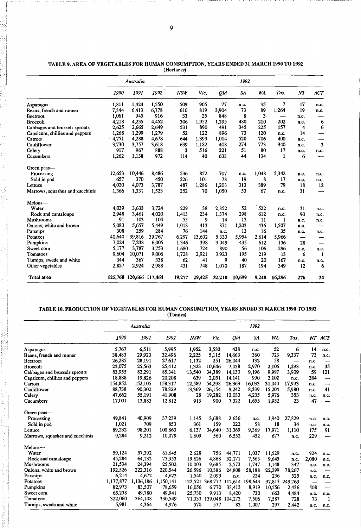|                                 |        | Australia               |        |            |        |        | 1992   |       |        |      |      |
|---------------------------------|--------|-------------------------|--------|------------|--------|--------|--------|-------|--------|------|------|
|                                 | 1990   | 1991                    | 1992   | <b>NSW</b> | Vic.   | Qld    | SA     | WA    | Tas.   | NT   | ACT  |
| Asparagus                       | 1.811  | 1,424                   | 1,550  | 509        | 905    | 77     | n.c.   | 35    | 7      | 17   | n.c. |
| Beans, french and runner        | 7,344  | 6,413                   | 6,778  | 610        | 819    | 3,904  | 73     | 89    | 1.264  | 19   | n.c. |
| Beetroot                        | 1,061  | 945                     | 916    | 33         | 25     | 848    | 8      | 3     | ——     | n.c. |      |
| <b>Broccoli</b>                 | 4,218  | 4,235                   | 4,452  | 306        | 1.952  | 1,295  | 480    | 210   | 202    | n.c. | 6    |
| Cabbages and brussels sprouts   | 2,625  | 2,665                   | 2,649  | 531        | 890    | 491    | 345    | 225   | 157    | 4    | 6    |
| Capsicum, chillies and peppers  | 1,268  | 1,299                   | 1,279  | 52         | 122    | 896    | 73     | 120   | n.c.   | 14   |      |
| Carrots                         | 4,751  | 4,288                   | 4,678  | 644        | 1,393  | 1,014  | 520    | 706   | 400    | n.c. |      |
| Cauliflower                     | 3.730  | 3.757                   | 3,618  | 639        | 1,182  | 408    | 274    | 773   | 340    | n.c. | 3    |
| Celery                          | 917    | 967                     | 888    | 3          | 516    | 221    | 51     | 80    | 17     | n.c. | n.c. |
| Cucumbers                       | 1,262  | 1,138                   | 972    | 114        | 40     | 633    | 44     | 134   | 1      | 6    |      |
| Green peas-                     |        |                         |        |            |        |        |        |       |        |      |      |
| Processing                      | 12.653 | 10,446                  | 8,486  | 536        | 852    | 707    | n.c.   | 1,048 | 5,342  | n.c. | n.c. |
| Sold in pod                     | 657    | 370                     | 450    | 226        | 101    | 78     | 19     | 8     | 17     | n.c. | n.c. |
| Lettuce                         | 4,020  | 4,073                   | 3,787  | 487        | 1,286  | 1,203  | 313    | 389   | 79     | 18   | 12   |
| Marrows, squashes and zucchinis | 1,366  | 1,331                   | 1,523  | 252        | 70     | 1,050  | 53     | 67    | n.c.   | 31   | —    |
| Melons-                         |        |                         |        |            |        |        |        |       |        |      |      |
| Water                           | 4,039  | 3,633                   | 3,724  | 229        | 38     | 2,852  | 52     | 522   | n.c.   | 31   | n.c. |
| Rock and cantaloupe             | 2,948  | 3,461                   | 4,020  | 1,413      | 234    | 1,374  | 298    | 612   | n.c.   | 90   | n.c. |
| Mushrooms                       | 91     | 103                     | 104    | 55         | 9      | 14     | 13     | 11    | 1      | n.c. | n.c. |
| Onions, white and brown         | 5,083  | 5,657                   | 5,449  | 1,018      | 413    | 871    | 1,203  | 436   | 1,507  | n.c. |      |
| Parsnips                        | 308    | 259                     | 284    | 76         | 144    | n.c.   | 13     | 16    | 35     | n.c. | n.c. |
| Potatoes                        | 40,640 | 39,816                  | 39,767 | 6,297      | 13,602 | 5,333  | 5,954  | 2,614 | 5,966  | —    |      |
| Pumpkins                        | 7,024  | 7,238                   | 6,005  | 1,346      | 398    | 3,049  | 435    | 612   | 136    | 28   |      |
| Sweet corn                      | 5,177  | 3,787                   | 3,753  | 1,680      | 724    | 890    | 56     | 106   | 296    | n.c. | n.c. |
| Tomatoes                        | 9,604  | 10,071                  | 9,006  | 1,728      | 2,921  | 3,923  | 195    | 219   | 13     | 6    | 1    |
| Turnips, swede and white        | 344    | 367                     | 338    | 62         | 41     | 9      | 40     | 20    | 167    | n.c. | n.c. |
| Other vegetables                | 2,827  | 2,924                   | 2,988  | 431        | 748    | 1,070  | 187    | 194   | 349    | 12   | 6    |
| <b>Total area</b>               |        | 125,768 120,666 117,464 |        | 19,277     | 29,425 | 32,210 | 10,699 | 9,248 | 16,296 | 276  | 34   |

TABLE 9. AREA OF VEGEI'ABLES FOR HUMAN CONSUMPfION, YEARS ENDED 31 MARCH 1990 TO 1992 (Hectares)

#### TABLE 10. PRODUCTION OF VEGEI'ABLES FOR HUMAN CONSUMPfION, YEARS ENDED 31 MARCH 1990 TO 1992 (Tonnes)

 $\hat{\boldsymbol{\beta}}$ 

|                                 |           | Australia |           |            |         |         | 1992    |        |         |       |              |
|---------------------------------|-----------|-----------|-----------|------------|---------|---------|---------|--------|---------|-------|--------------|
|                                 | 1990      | 1991      | 1992      | <b>NSW</b> | Vic.    | Qld     | SA      | WA     | Tas.    | NT    | <b>ACT</b>   |
| Asparagus                       | 5,767     | 6.511     | 5,995     | 1,952      | 3.533   | 438     | n.c.    | 52     | 6       | 14    | n.c.         |
| Beans, french and runner        | 38,483    | 29,923    | 32,496    | 2,225      | 5,115   | 14,663  | 360     | 723    | 9,337   | 73    | n.c.         |
| Beetroot                        | 26,285    | 28,191    | 27,617    | 1,132      | 251     | 26,044  | 132     | 58     |         | n.c.  |              |
| Broccoli                        | 23,075    | 25,563    | 25,412    | 1,323      | 10,646  | 7,038   | 2,970   | 2,106  | 1,293   | n.c.  | 35           |
| Cabbages and brussels sprouts   | 83,955    | 82,291    | 85,341    | $-13,540$  | 34,389  | 14,130  | 9,196   | 9,997  | 3,909   | 59    | 121          |
| Capsicum, chillies and peppers  | 18,888    | 19,826    | 20,208    | 639        | 2.051   | 14,141  | 990     | 2,102  | n.c.    | 284   |              |
| Carrots                         | 154,852   | 152,105   | 158,317   | 12,589     | 54,298  | 26,363  | 16,033  | 31,040 | 17,993  | п.с.  |              |
| Cauliflower                     | 88,738    | 90,302    | 78,329    | 13,369     | 26,154  | 9,242   | 8,339   | 15,204 | 5,980   | n.c.  | 41           |
| Celery                          | 47,662    | 55,191    | 41,908    | 28         | 19.282  | 12,033  | 4.235   | 5,976  | 353     | n.c.  | n.c.         |
| Cucumbers                       | 17,001    | 13,883    | 12,812    | 913        | 900     | 7,322   | 1,655   | 1,952  | 23      | 47    |              |
| Green peas-                     |           |           |           |            |         |         |         |        |         |       |              |
| Processing                      | 49,841    | 40.909    | 37,239    | 1,145      | 3,688   | 2,636   | n.c.    | 1,940  | 27,829  | n.c.  | n.c.         |
| Sold in pod                     | 1,021     | 709       | 853       | 361        | 159     | 222     | 58      | 18     | 34      | n.c.  | n.c.         |
| Lettuce                         | 89,232    | 98,201    | 100,863   | 6,137      | 34,640  | 31,369  | 9,369   | 17,971 | 1,110   | 175   | 91           |
| Marrows, squashes and zucchinis | 9,284     | 9,212     | 10,079    | 1,609      | 560     | 6,552   | 452     | 677    | n.c.    | 229   |              |
| Melons-                         |           |           |           |            |         |         |         |        |         |       |              |
| Water                           | 59,124    | 57,392    | 61,645    | 2,628      | 756     | 44,771  | 1,037   | 11,529 | n.c.    | 924   | n.c.         |
| Rock and cantaloupe             | 45,284    | 64,132    | 75.953    | 19,626     | 4.868   | 32,171  | 7,563   | 9,645  | n.c.    | 2,080 | n.c.         |
| Mushrooms                       | 21,534    | 24,394    | 25,502    | 10,003     | 9,685   | 2,573   | 1,747   | 1,148  | 347     | n.c.  | n.c.         |
| Onions, white and brown         | 192,526   | 222,316   | 220,544   | 26,596     | 10.386  | 24,808  | 58,188  | 22,299 | 78,267  | n.c.  |              |
| Parsnips                        | 6,214     | 4,672     | 4,623     | 1,540      | 2,099   | n.c.    | 224     | 236    | 525     | n.c.  | n.c.         |
| Potatoes                        | 1,177,877 | 1,136,186 | 1,150,141 | 122,521    | 368,777 | 112.614 | 198,643 | 97.817 | 249.769 |       |              |
| Pumpkins                        | 82,973    | 83.507    | 78,659    | 16,056     | 6.770   | 33,413  | 8,919   | 10,556 | 2,436   | 508   | ----         |
| Sweet com                       | 65,238    | 49,780    | 49,941    | 25,730     | 9,913   | 8,420   | 730     | 663    | 4,484   | n.c.  | n.c.         |
| Tomatoes                        | 322,060   | 364,108   | 330,549   | 71,333     | 139,048 | 104,273 | 7,506   | 7,587  | 728     | 73    | $\mathbf{1}$ |
| Turnips, swede and white        | 5,981     | 4,364     | 4,976     | 570        | 577     | 83      | 1,007   | 297    | 2,442   | n.c.  | n.c.         |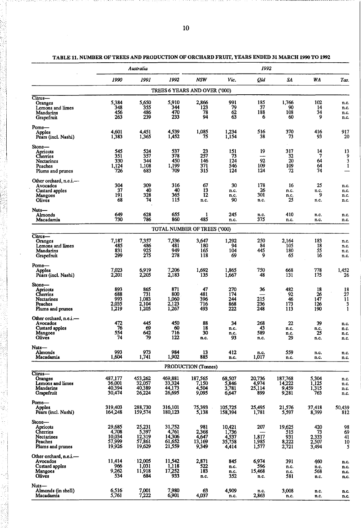|                                                                                    |                                               | Australia                                     |                                               |                                          |                                             | 1992                                    |                                        |                                       |                              |
|------------------------------------------------------------------------------------|-----------------------------------------------|-----------------------------------------------|-----------------------------------------------|------------------------------------------|---------------------------------------------|-----------------------------------------|----------------------------------------|---------------------------------------|------------------------------|
|                                                                                    | 1990                                          | 1991                                          | 1992                                          | <b>NSW</b>                               | Vic.                                        | Qld                                     | SA                                     | WA                                    | Tas.                         |
|                                                                                    |                                               |                                               | TREES 6 YEARS AND OVER ('000)                 |                                          |                                             |                                         |                                        |                                       |                              |
| $Citrus$ —<br>Oranges<br>Lemons and limes<br>Mandarins<br>Grapefruit               | 5,384<br>348<br>456<br>263                    | 5,650<br>355<br>486<br>239                    | 5,910<br>344<br>470<br>233                    | 2,866<br>123<br>78<br>94                 | 991<br>79<br>62<br>63                       | 185<br>37<br>188<br>6                   | 1,766<br>90<br>108<br>60               | 102<br>14<br>34<br>9                  | n.c.<br>n.c.<br>n.c.<br>n.c. |
| Pome-<br>Apples<br>Pears (incl. Nashi)                                             | 4,601<br>1,383                                | 4,451<br>1,365                                | 4,539<br>1,452                                | 1,085<br>75                              | 1,234<br>1,154                              | 516<br>38                               | 370<br>73                              | 416<br>93                             | 917<br>20                    |
| Stone-<br>Apricots<br>Cherries<br>Nectarines<br>Peaches<br>Plums and prunes        | 545<br>351<br>330<br>1.124<br>726             | 524<br>357<br>344<br>1,108<br>683             | 537<br>378<br>450<br>1,199<br>709             | $\frac{23}{257}$<br>146<br>371<br>315    | 151<br>73<br>124<br>546<br>124              | 19<br>—<br>92<br>109<br>124             | 317<br>32<br>20<br>109<br>72           | 14<br>7<br>64<br>64<br>74             | 13<br>9<br>3<br>1            |
| Other orchard, n.e.i.-<br>Avocados<br>Custard apples<br>Mangoes<br>Olives          | 304<br>37<br>191<br>68                        | 309<br>40<br>328<br>74                        | 316<br>40<br>365<br>115                       | 67<br>13<br>12<br>n.c.                   | 30<br>n.c.<br>n.c.<br>90                    | 178<br>26<br>301<br>n.c.                | 16<br>n.c.<br>n.c.<br>25               | 25<br>n.c.<br>9<br>n.c.               | n.c.<br>n.c.<br>n.c.<br>n.c. |
| Nuts—<br>Almonds<br>Macadamia                                                      | 649<br>730                                    | 628<br>786                                    | 655<br>860                                    | 1<br>485                                 | 245<br>n.c.                                 | n.c.<br>375                             | 410<br>n.c.                            | n.c.<br>n.c.                          | n.c.<br>n.c.                 |
|                                                                                    |                                               |                                               | TOTAL NUMBER OF TREES ('000)                  |                                          |                                             |                                         |                                        |                                       |                              |
| Citrus-<br>Oranges<br>Lemons and limes<br>Mandarins<br>Grapefruit                  | 7,187<br>485<br>831<br>299                    | 7,357<br>486<br>925<br>275                    | 7,536<br>481<br>949<br>278                    | 3,647<br>180<br>165<br>118               | 1,292<br>94<br>104<br>69                    | 250<br>84<br>445<br>9                   | 2,164<br>105<br>180<br>65              | 183<br>18<br>55<br>16                 | n.c.<br>n.c.<br>n.c.<br>n.c. |
| Pome-<br><b>Apples</b><br>Pears (incl. Nashi)                                      | 7,023<br>2,201                                | 6,919<br>2,205                                | 7,206<br>2,183                                | 1,692<br>135                             | 1,865<br>1,667                              | 750<br>48                               | 668<br>131                             | 778<br>175                            | 1,452<br>26                  |
| Stone-<br>Apricots<br>Cherries<br><b>Nectarines</b><br>Peaches<br>Plums and prunes | 893<br>688<br>993<br>2,035<br>1,219           | 865<br>731<br>1,083<br>2,104<br>1,205         | 871<br>800<br>1,060<br>2,123<br>1,267         | 47<br>481<br>396<br>716<br>493           | 270<br>174<br>244<br>868<br>222             | 36<br>215<br>236<br>248                 | 482<br>92<br>46<br>173<br>113          | 18<br>26<br>147<br>126<br>190         | 18<br>27<br>11<br>3<br>1     |
| Other orchard, n.e.i.—<br>Avocados<br>Custard apples<br>Mangoes<br><b>Olives</b>   | 472<br>76<br>554<br>74                        | 445<br>69<br>642<br>79                        | 450<br>60<br>716<br>122                       | 88<br>18<br>30<br>n.c.                   | 34<br>n.c.<br>n.c.<br>93                    | 268<br>43<br>589<br>n.c.                | 22<br>n.c.<br>n.c.<br>29               | 39<br>n.c.<br>25<br>n.c.              | n.c.<br>n.c.<br>n.c.<br>n.c. |
| Nuts—<br>Almonds<br>Macadamia                                                      | 993<br>1,604                                  | 973<br>1,741                                  | 984<br>1,902                                  | 13<br>885                                | 412<br>n.c.                                 | n.c.<br>1,017                           | 559<br>n.c.                            | n.c.<br>n.c.                          | n.c.<br>n.c.                 |
|                                                                                    |                                               |                                               |                                               | PRODUCTION (Tonnes)                      |                                             |                                         |                                        |                                       |                              |
| $Citrus-$<br>Oranges<br>Lemons and limes<br>Mandarins<br>Grapefruit                | 487,177<br>36,001<br>40,394<br>30,474         | 453,262<br>32,057<br>40,389<br>26,224         | 469,881<br>33,324<br>44,173<br>26,695         | 187,565<br>7,150<br>4,504<br>9,095       | 68,507<br>5,846<br>3,781<br>6,647           | 20,736<br>$\frac{4,974}{25,114}$<br>899 | 187,768<br>14,222<br>9,459<br>9,281    | 5,304<br>$\frac{1,125}{1,315}$<br>763 | n.c.<br>n.c.<br>n.c.<br>n.c. |
| Pome—<br>Apples<br>Pears (incl. Nashi)                                             | 319,403<br>164,248                            | 288,730<br>159,574                            | 316,101<br>180,123                            | 75,393<br>5,138                          | 105,725<br>158,394                          | 25,495<br>1,781                         | 21,576<br>5,597                        | 37.418<br>8,399                       | 50,439<br>812                |
| Stone-<br>Apricots<br>Cherries<br>Nectarines<br>Peaches<br>Plums and prunes        | 29,685<br>4,708<br>10,034<br>57,999<br>19,926 | 25,231<br>5,397<br>12,319<br>57,861<br>19,629 | 31,752<br>4,761<br>14,306<br>61,652<br>21,559 | 981<br>2,368<br>4,647<br>13,169<br>9,349 | 10,421<br>1,736<br>4,537<br>35,758<br>4,414 | 207<br>1,817<br>1,985<br>1,577          | 19,625<br>515<br>931<br>8,222<br>2,721 | 420<br>73<br>2,333<br>2,507<br>3,494  | 98<br>69<br>41<br>10<br>5    |
| Other orchard, n.e.i.—<br>Avocados<br>Custard apples<br>Mangoes<br>Olives          | 11,414<br>966<br>9,262<br>534                 | 12,005<br>1,031<br>11,918<br>684              | 11,542<br>1,118<br>17,252<br>933              | 2,871<br>522<br>183<br>n.c.              | 845<br>n.c.<br>n.c.<br>352                  | 6,974<br>596<br>15,468<br>n.c.          | 391<br>n.c.<br>n.c.<br>581             | 460<br>n.c.<br>568<br>n.c.            | n.c.<br>n.c.<br>n.c.<br>n.c. |
| Nuts—<br>Almonds (in shell)<br>Macadamia                                           | 6,516<br>5.761                                | 7,001<br>7,222                                | 7,980<br>6,901                                | 63<br>4.037                              | 4,909<br>n.c.                               | n.c.<br>2.863                           | 3,008<br>п.с.                          | n.c.<br>n.c.                          | n.c.<br>n.c.                 |

TABLE 11. NUMBER OF TREES AND PRODUCTION OF ORCHARD FRUIT, YEARS ENDED 31 MARCH 1990 TO 1992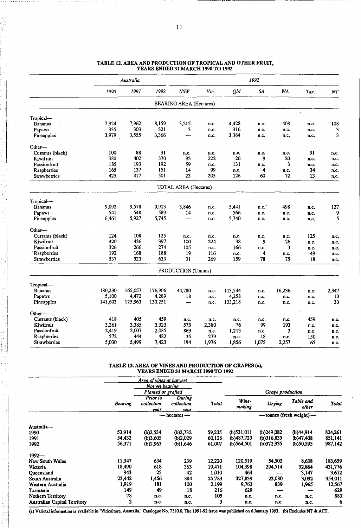| 1992<br>NSW<br>1990<br>1991<br>Vic.<br>Qld<br><b>SA</b><br><b>WA</b><br>NT<br>Tas.<br><b>BEARING AREA (Hectares)</b><br>7,924<br>7,962<br>8,159<br>3,215<br>4,428<br>408<br>108<br><b>Bananas</b><br>n.c.<br>n.c.<br>n.c.<br>321<br>335<br>303<br>316<br>3<br>3<br>Papaws<br>n.c.<br>n.c.<br>n.c.<br>n.c.<br>3,979<br>3,555<br>3,366<br>3<br>3,364<br>Pineapples<br>——<br>n.c.<br>n.c.<br>n.c.<br>n.c.<br>88<br>91<br>100<br>91<br>Currants (black)<br>n.c.<br>n.c.<br>n.c.<br>n.c.<br>n.c.<br>n.c.<br>370<br>380<br>402<br>93<br>222<br>26<br>9<br>20<br>Kiwifruit<br>n.c.<br>n.c.<br>185<br>193<br>192<br>59<br>131<br>3<br>Passionfruit<br>n.c.<br>n.c.<br>n.c.<br>n.c.<br>137<br>165<br>151<br>99<br>14<br>Raspberries<br>4<br>34<br>n.c.<br>n.c.<br>n.c.<br>425<br>501<br>417<br>23<br>205<br>126<br>60<br>72<br><b>Strawberries</b><br>13<br>n.c.<br><b>TOTAL AREA (Hectares)</b><br>Tropical-<br>9,092<br>9,578<br>9,913<br>3,846<br>5,441<br>498<br>127<br><b>Bananas</b><br>n.c.<br>n.c.<br>n.c.<br>541<br>548<br>589<br>9<br>566<br>Papaws<br>14<br>n.c.<br>n.c.<br>n.c.<br>n.c.<br>5<br>6,461<br>5,927<br>5,745<br>5,740<br>Pineapples<br>n.c.<br>n.c.<br>n.c.<br>n.c.<br>108<br>125<br>124<br>125<br>Currants (black)<br>n.c.<br>n.c.<br>n.c.<br>n.c.<br>n.c.<br>n.c.<br>397<br>420<br>436<br>224<br>38<br>Kiwifruit<br>100<br>9<br>26<br>n.c.<br>n.c.<br>274<br>326<br>266<br>166<br>Passionfruit<br>105<br>3<br>n.c.<br>n.c.<br>n.c.<br>n.c.<br>192<br>168<br>188<br>Raspberries<br>19<br>116<br>49<br>4<br>n.c.<br>n.c.<br>n.c.<br>537<br>523<br>633<br>31<br>269<br>159<br>75<br>Strawberries<br>78<br>18<br>n.c.<br>PRODUCTION (Tonnes)<br>Tropical-<br>180,290<br>165,057<br>176,906<br>44,780<br>113,544<br>16,236<br>Bananas<br>n.c.<br>n.c.<br>n.c.<br>4,472<br>4,289<br>5,100<br>18<br>4,258<br>Papaws<br>13<br>n.c.<br>n.c.<br>n.c.<br>n.c.<br>125,963<br>133,251<br>141,603<br>133,218<br>33<br>Pineapples<br>n.c.<br>n.c.<br>n.c.<br>n.c.<br>Other—<br>405<br>459<br>Currants (black)<br>418<br>459<br>n.c.<br>n.c.<br>n.c.<br>n.c.<br>n.c.<br>n.c.<br>Kiwifruit<br>3,261<br>3,385<br>3,323<br>575<br>76<br>2,380<br>99<br>193<br>n.c.<br>n.c.<br>2,007<br>2,085<br>869<br>1,213<br>3<br>Passionfruit<br>2,419<br>n.c.<br>n.c.<br>n.c.<br>n.c.<br>482<br>572<br>444<br>279<br>Raspberries<br>35<br>18<br>150<br>п.с.<br>n.c.<br>n.c. |                     |       | Australia |       |     |       |       | 1992  |       |    |      |
|---------------------------------------------------------------------------------------------------------------------------------------------------------------------------------------------------------------------------------------------------------------------------------------------------------------------------------------------------------------------------------------------------------------------------------------------------------------------------------------------------------------------------------------------------------------------------------------------------------------------------------------------------------------------------------------------------------------------------------------------------------------------------------------------------------------------------------------------------------------------------------------------------------------------------------------------------------------------------------------------------------------------------------------------------------------------------------------------------------------------------------------------------------------------------------------------------------------------------------------------------------------------------------------------------------------------------------------------------------------------------------------------------------------------------------------------------------------------------------------------------------------------------------------------------------------------------------------------------------------------------------------------------------------------------------------------------------------------------------------------------------------------------------------------------------------------------------------------------------------------------------------------------------------------------------------------------------------------------------------------------------------------------------------------------------------------------------------------------------------------------------------------------------------------------------------------------------------------------------------------------------------------------------------------------------------------------------------------------------------|---------------------|-------|-----------|-------|-----|-------|-------|-------|-------|----|------|
|                                                                                                                                                                                                                                                                                                                                                                                                                                                                                                                                                                                                                                                                                                                                                                                                                                                                                                                                                                                                                                                                                                                                                                                                                                                                                                                                                                                                                                                                                                                                                                                                                                                                                                                                                                                                                                                                                                                                                                                                                                                                                                                                                                                                                                                                                                                                                               |                     |       |           |       |     |       |       |       |       |    |      |
|                                                                                                                                                                                                                                                                                                                                                                                                                                                                                                                                                                                                                                                                                                                                                                                                                                                                                                                                                                                                                                                                                                                                                                                                                                                                                                                                                                                                                                                                                                                                                                                                                                                                                                                                                                                                                                                                                                                                                                                                                                                                                                                                                                                                                                                                                                                                                               |                     |       |           |       |     |       |       |       |       |    |      |
|                                                                                                                                                                                                                                                                                                                                                                                                                                                                                                                                                                                                                                                                                                                                                                                                                                                                                                                                                                                                                                                                                                                                                                                                                                                                                                                                                                                                                                                                                                                                                                                                                                                                                                                                                                                                                                                                                                                                                                                                                                                                                                                                                                                                                                                                                                                                                               | Tropical-           |       |           |       |     |       |       |       |       |    |      |
|                                                                                                                                                                                                                                                                                                                                                                                                                                                                                                                                                                                                                                                                                                                                                                                                                                                                                                                                                                                                                                                                                                                                                                                                                                                                                                                                                                                                                                                                                                                                                                                                                                                                                                                                                                                                                                                                                                                                                                                                                                                                                                                                                                                                                                                                                                                                                               |                     |       |           |       |     |       |       |       |       |    |      |
| 2,347                                                                                                                                                                                                                                                                                                                                                                                                                                                                                                                                                                                                                                                                                                                                                                                                                                                                                                                                                                                                                                                                                                                                                                                                                                                                                                                                                                                                                                                                                                                                                                                                                                                                                                                                                                                                                                                                                                                                                                                                                                                                                                                                                                                                                                                                                                                                                         |                     |       |           |       |     |       |       |       |       |    |      |
|                                                                                                                                                                                                                                                                                                                                                                                                                                                                                                                                                                                                                                                                                                                                                                                                                                                                                                                                                                                                                                                                                                                                                                                                                                                                                                                                                                                                                                                                                                                                                                                                                                                                                                                                                                                                                                                                                                                                                                                                                                                                                                                                                                                                                                                                                                                                                               |                     |       |           |       |     |       |       |       |       |    |      |
|                                                                                                                                                                                                                                                                                                                                                                                                                                                                                                                                                                                                                                                                                                                                                                                                                                                                                                                                                                                                                                                                                                                                                                                                                                                                                                                                                                                                                                                                                                                                                                                                                                                                                                                                                                                                                                                                                                                                                                                                                                                                                                                                                                                                                                                                                                                                                               | Other—              |       |           |       |     |       |       |       |       |    |      |
|                                                                                                                                                                                                                                                                                                                                                                                                                                                                                                                                                                                                                                                                                                                                                                                                                                                                                                                                                                                                                                                                                                                                                                                                                                                                                                                                                                                                                                                                                                                                                                                                                                                                                                                                                                                                                                                                                                                                                                                                                                                                                                                                                                                                                                                                                                                                                               |                     |       |           |       |     |       |       |       |       |    |      |
|                                                                                                                                                                                                                                                                                                                                                                                                                                                                                                                                                                                                                                                                                                                                                                                                                                                                                                                                                                                                                                                                                                                                                                                                                                                                                                                                                                                                                                                                                                                                                                                                                                                                                                                                                                                                                                                                                                                                                                                                                                                                                                                                                                                                                                                                                                                                                               |                     |       |           |       |     |       |       |       |       |    |      |
|                                                                                                                                                                                                                                                                                                                                                                                                                                                                                                                                                                                                                                                                                                                                                                                                                                                                                                                                                                                                                                                                                                                                                                                                                                                                                                                                                                                                                                                                                                                                                                                                                                                                                                                                                                                                                                                                                                                                                                                                                                                                                                                                                                                                                                                                                                                                                               |                     |       |           |       |     |       |       |       |       |    |      |
|                                                                                                                                                                                                                                                                                                                                                                                                                                                                                                                                                                                                                                                                                                                                                                                                                                                                                                                                                                                                                                                                                                                                                                                                                                                                                                                                                                                                                                                                                                                                                                                                                                                                                                                                                                                                                                                                                                                                                                                                                                                                                                                                                                                                                                                                                                                                                               |                     |       |           |       |     |       |       |       |       |    |      |
|                                                                                                                                                                                                                                                                                                                                                                                                                                                                                                                                                                                                                                                                                                                                                                                                                                                                                                                                                                                                                                                                                                                                                                                                                                                                                                                                                                                                                                                                                                                                                                                                                                                                                                                                                                                                                                                                                                                                                                                                                                                                                                                                                                                                                                                                                                                                                               |                     |       |           |       |     |       |       |       |       |    |      |
|                                                                                                                                                                                                                                                                                                                                                                                                                                                                                                                                                                                                                                                                                                                                                                                                                                                                                                                                                                                                                                                                                                                                                                                                                                                                                                                                                                                                                                                                                                                                                                                                                                                                                                                                                                                                                                                                                                                                                                                                                                                                                                                                                                                                                                                                                                                                                               |                     |       |           |       |     |       |       |       |       |    |      |
|                                                                                                                                                                                                                                                                                                                                                                                                                                                                                                                                                                                                                                                                                                                                                                                                                                                                                                                                                                                                                                                                                                                                                                                                                                                                                                                                                                                                                                                                                                                                                                                                                                                                                                                                                                                                                                                                                                                                                                                                                                                                                                                                                                                                                                                                                                                                                               |                     |       |           |       |     |       |       |       |       |    |      |
|                                                                                                                                                                                                                                                                                                                                                                                                                                                                                                                                                                                                                                                                                                                                                                                                                                                                                                                                                                                                                                                                                                                                                                                                                                                                                                                                                                                                                                                                                                                                                                                                                                                                                                                                                                                                                                                                                                                                                                                                                                                                                                                                                                                                                                                                                                                                                               |                     |       |           |       |     |       |       |       |       |    |      |
|                                                                                                                                                                                                                                                                                                                                                                                                                                                                                                                                                                                                                                                                                                                                                                                                                                                                                                                                                                                                                                                                                                                                                                                                                                                                                                                                                                                                                                                                                                                                                                                                                                                                                                                                                                                                                                                                                                                                                                                                                                                                                                                                                                                                                                                                                                                                                               |                     |       |           |       |     |       |       |       |       |    |      |
|                                                                                                                                                                                                                                                                                                                                                                                                                                                                                                                                                                                                                                                                                                                                                                                                                                                                                                                                                                                                                                                                                                                                                                                                                                                                                                                                                                                                                                                                                                                                                                                                                                                                                                                                                                                                                                                                                                                                                                                                                                                                                                                                                                                                                                                                                                                                                               |                     |       |           |       |     |       |       |       |       |    |      |
|                                                                                                                                                                                                                                                                                                                                                                                                                                                                                                                                                                                                                                                                                                                                                                                                                                                                                                                                                                                                                                                                                                                                                                                                                                                                                                                                                                                                                                                                                                                                                                                                                                                                                                                                                                                                                                                                                                                                                                                                                                                                                                                                                                                                                                                                                                                                                               | Other—              |       |           |       |     |       |       |       |       |    |      |
|                                                                                                                                                                                                                                                                                                                                                                                                                                                                                                                                                                                                                                                                                                                                                                                                                                                                                                                                                                                                                                                                                                                                                                                                                                                                                                                                                                                                                                                                                                                                                                                                                                                                                                                                                                                                                                                                                                                                                                                                                                                                                                                                                                                                                                                                                                                                                               |                     |       |           |       |     |       |       |       |       |    |      |
|                                                                                                                                                                                                                                                                                                                                                                                                                                                                                                                                                                                                                                                                                                                                                                                                                                                                                                                                                                                                                                                                                                                                                                                                                                                                                                                                                                                                                                                                                                                                                                                                                                                                                                                                                                                                                                                                                                                                                                                                                                                                                                                                                                                                                                                                                                                                                               |                     |       |           |       |     |       |       |       |       |    |      |
|                                                                                                                                                                                                                                                                                                                                                                                                                                                                                                                                                                                                                                                                                                                                                                                                                                                                                                                                                                                                                                                                                                                                                                                                                                                                                                                                                                                                                                                                                                                                                                                                                                                                                                                                                                                                                                                                                                                                                                                                                                                                                                                                                                                                                                                                                                                                                               |                     |       |           |       |     |       |       |       |       |    |      |
|                                                                                                                                                                                                                                                                                                                                                                                                                                                                                                                                                                                                                                                                                                                                                                                                                                                                                                                                                                                                                                                                                                                                                                                                                                                                                                                                                                                                                                                                                                                                                                                                                                                                                                                                                                                                                                                                                                                                                                                                                                                                                                                                                                                                                                                                                                                                                               |                     |       |           |       |     |       |       |       |       |    |      |
|                                                                                                                                                                                                                                                                                                                                                                                                                                                                                                                                                                                                                                                                                                                                                                                                                                                                                                                                                                                                                                                                                                                                                                                                                                                                                                                                                                                                                                                                                                                                                                                                                                                                                                                                                                                                                                                                                                                                                                                                                                                                                                                                                                                                                                                                                                                                                               |                     |       |           |       |     |       |       |       |       |    |      |
|                                                                                                                                                                                                                                                                                                                                                                                                                                                                                                                                                                                                                                                                                                                                                                                                                                                                                                                                                                                                                                                                                                                                                                                                                                                                                                                                                                                                                                                                                                                                                                                                                                                                                                                                                                                                                                                                                                                                                                                                                                                                                                                                                                                                                                                                                                                                                               |                     |       |           |       |     |       |       |       |       |    |      |
|                                                                                                                                                                                                                                                                                                                                                                                                                                                                                                                                                                                                                                                                                                                                                                                                                                                                                                                                                                                                                                                                                                                                                                                                                                                                                                                                                                                                                                                                                                                                                                                                                                                                                                                                                                                                                                                                                                                                                                                                                                                                                                                                                                                                                                                                                                                                                               |                     |       |           |       |     |       |       |       |       |    |      |
|                                                                                                                                                                                                                                                                                                                                                                                                                                                                                                                                                                                                                                                                                                                                                                                                                                                                                                                                                                                                                                                                                                                                                                                                                                                                                                                                                                                                                                                                                                                                                                                                                                                                                                                                                                                                                                                                                                                                                                                                                                                                                                                                                                                                                                                                                                                                                               |                     |       |           |       |     |       |       |       |       |    |      |
|                                                                                                                                                                                                                                                                                                                                                                                                                                                                                                                                                                                                                                                                                                                                                                                                                                                                                                                                                                                                                                                                                                                                                                                                                                                                                                                                                                                                                                                                                                                                                                                                                                                                                                                                                                                                                                                                                                                                                                                                                                                                                                                                                                                                                                                                                                                                                               |                     |       |           |       |     |       |       |       |       |    |      |
|                                                                                                                                                                                                                                                                                                                                                                                                                                                                                                                                                                                                                                                                                                                                                                                                                                                                                                                                                                                                                                                                                                                                                                                                                                                                                                                                                                                                                                                                                                                                                                                                                                                                                                                                                                                                                                                                                                                                                                                                                                                                                                                                                                                                                                                                                                                                                               |                     |       |           |       |     |       |       |       |       |    |      |
|                                                                                                                                                                                                                                                                                                                                                                                                                                                                                                                                                                                                                                                                                                                                                                                                                                                                                                                                                                                                                                                                                                                                                                                                                                                                                                                                                                                                                                                                                                                                                                                                                                                                                                                                                                                                                                                                                                                                                                                                                                                                                                                                                                                                                                                                                                                                                               |                     |       |           |       |     |       |       |       |       |    |      |
|                                                                                                                                                                                                                                                                                                                                                                                                                                                                                                                                                                                                                                                                                                                                                                                                                                                                                                                                                                                                                                                                                                                                                                                                                                                                                                                                                                                                                                                                                                                                                                                                                                                                                                                                                                                                                                                                                                                                                                                                                                                                                                                                                                                                                                                                                                                                                               |                     |       |           |       |     |       |       |       |       |    |      |
|                                                                                                                                                                                                                                                                                                                                                                                                                                                                                                                                                                                                                                                                                                                                                                                                                                                                                                                                                                                                                                                                                                                                                                                                                                                                                                                                                                                                                                                                                                                                                                                                                                                                                                                                                                                                                                                                                                                                                                                                                                                                                                                                                                                                                                                                                                                                                               |                     |       |           |       |     |       |       |       |       |    |      |
|                                                                                                                                                                                                                                                                                                                                                                                                                                                                                                                                                                                                                                                                                                                                                                                                                                                                                                                                                                                                                                                                                                                                                                                                                                                                                                                                                                                                                                                                                                                                                                                                                                                                                                                                                                                                                                                                                                                                                                                                                                                                                                                                                                                                                                                                                                                                                               |                     |       |           |       |     |       |       |       |       |    |      |
|                                                                                                                                                                                                                                                                                                                                                                                                                                                                                                                                                                                                                                                                                                                                                                                                                                                                                                                                                                                                                                                                                                                                                                                                                                                                                                                                                                                                                                                                                                                                                                                                                                                                                                                                                                                                                                                                                                                                                                                                                                                                                                                                                                                                                                                                                                                                                               |                     |       |           |       |     |       |       |       |       |    |      |
|                                                                                                                                                                                                                                                                                                                                                                                                                                                                                                                                                                                                                                                                                                                                                                                                                                                                                                                                                                                                                                                                                                                                                                                                                                                                                                                                                                                                                                                                                                                                                                                                                                                                                                                                                                                                                                                                                                                                                                                                                                                                                                                                                                                                                                                                                                                                                               | <b>Strawberries</b> | 5,030 | 5,499     | 7,423 | 194 | 1,976 | 1,856 | 1,075 | 2,257 | 65 | n.c. |

#### TABLE 12. AREA AND PRODUCfION OF TROPICAL AND OTHER FRUIT, YEARS ENDED 31 MARCH 1990 TO 1992

TABLE 13. AREA OF VINES AND PRODUCfION OF GRAPES (a), YEARS ENDED 31 MARCH 1990 TO 1992

|                                     |         | Area of vines at harvest       |                              |              |                 |                  |                           |         |
|-------------------------------------|---------|--------------------------------|------------------------------|--------------|-----------------|------------------|---------------------------|---------|
|                                     |         | Not yet bearing                |                              |              |                 |                  |                           |         |
|                                     |         | Planted or grafted             |                              |              |                 | Grape production |                           |         |
|                                     | Bearing | Prior to<br>collection<br>vear | During<br>collection<br>year | <b>Total</b> | Wine-<br>making | Drying           | Table and<br>other        | Total   |
|                                     |         |                                | — hectares —                 |              |                 |                  | — tonnes (fresh weight) — |         |
| Australia-                          |         |                                |                              |              |                 |                  |                           |         |
| 1990                                | 53,914  | (b)2,534                       | (b)2,732                     | 59,235       | $(b)$ 531,011   | (b)249.082       | (b)44,914                 | 824,261 |
| 1991                                | 54,432  | (b)3,605                       | (b)2,029                     | 60,128       | (b)487,723      | (b)316,835       | (b)47,408                 | 851,141 |
| 1992                                | 56,371  | (b)2,963                       | (b)1,646                     | 61,007       | $(b)$ 564,501   | (b)372,935       | (b)50,595                 | 987,142 |
| $1992 -$                            |         |                                |                              |              |                 |                  |                           |         |
| New South Wales                     | 11,347  | 634                            | 239                          | 12,220       | 120,519         | 54,502           | 8,638.                    | 183,659 |
| Victoria                            | 18,490  | 618                            | 363                          | 19,471       | 104,398         | 294,514          | 32,864                    | 431,776 |
| <b>Oueensland</b>                   | 943     | 25                             | 42                           | 1.010        | 464             |                  | 3,147                     | 3,612   |
| South Australia                     | 23,442  | 1,456                          | 884                          | 25,783       | 327,839         | 23,080           | 3,092                     | 354,011 |
| Western Australia                   | 1,919   | 181                            | 100                          | 2,199        | 9,763           | 839              | 1,965                     | 12,567  |
| Tasmania                            | 149     | 49                             | 18                           | 216          | 629             |                  |                           | 629     |
| Nothern Territory                   | 78      | n.c.                           | n.c.                         | 105          | n.c.            | n.c.             | n.c.                      | 883     |
| <b>Australian Capital Territory</b> | 2       | n.c.                           | n.c.                         | 3            | n.c.            | n.c.             | n.c.                      | 6       |

(a) Varietal information is available in 'Viticulture, Australia,' Catalogue No. 7310.0. The 1991-92 issue was published on 6 January 1993. (b) Excludes NT & ACT.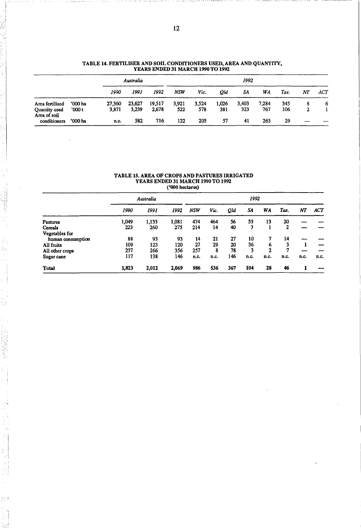|                                               |                 |               |              | I EARS ENDED SI MARCH 1770 TO 1772 |              |              |           |              |              |            |    |     |
|-----------------------------------------------|-----------------|---------------|--------------|------------------------------------|--------------|--------------|-----------|--------------|--------------|------------|----|-----|
|                                               |                 |               | Australia    |                                    |              |              |           | 1992         |              |            |    |     |
|                                               |                 | 1990          | 1991         | 1992                               | NSW          | Vic.         | 0ld       | SΑ           | WA           | Tas.       | NT | ACT |
| Area fertilised                               | '000 ha         | 27,360        | 23,627       | 19,517                             | 3.921<br>522 | 3.524<br>578 | 1.026     | 3,403<br>323 | 7.284<br>767 | 345<br>106 | 8  | 6   |
| Quantity used<br>Area of soil<br>conditioners | 000t<br>'000 ha | 3,871<br>n.c. | 3,239<br>582 | 2.678<br>716                       | 122          | 205          | 381<br>57 | 41           | 263          | 29         | 2  |     |

#### TABLE 14. FERTILISER AND SOIL CONDITIONERS USED, AREA AND QUANTITY, YEARS ENDED 31 MARCH 1990 TO 1992 -

#### TABLE 15. AREA OF CROPS AND PASTURES IRRIGATED YEARS ENDED 31 MARCH 1990 TO 1992 -('000 hectares)

|                   |       | Australia |       |            |      |     | 1992 |      |      |      |            |
|-------------------|-------|-----------|-------|------------|------|-----|------|------|------|------|------------|
|                   | 1990  | 1991      | 1992  | <b>NSW</b> | Vic. | QId | SΑ   | WA   | Tas. | NT   | <b>ACT</b> |
| Pastures          | 1,049 | 1,133     | 1,081 | 474        | 464  | 56  | 53   | 13   | 20   |      |            |
| Cereals           | 223   | 260       | 275   | 214        | 14   | 40  | 3    |      | 2    |      |            |
| Vegetables for    |       |           |       |            |      |     |      |      |      |      |            |
| human consumption | 88    | 93        | 93    | 14         | 21   | 27  | 10   | 7    | 14   |      |            |
| All fruits        | 109   | 123       | 120   | 27         | 29   | 20  | 36   | 6    | 3    |      |            |
| All other crops   | 237   | 266       | 356   | 257        | 8    | 78  | 3    | 2    |      |      |            |
| Sugar cane        | 117   | 138       | 146   | n.c.       | n.c. | 146 | n.c. | n.c. | n.c. | n.c. | n.c.       |
| <b>Total</b>      | 1,823 | 2,012     | 2,069 | 986        | 536  | 367 | 104  | 28   | 46   |      |            |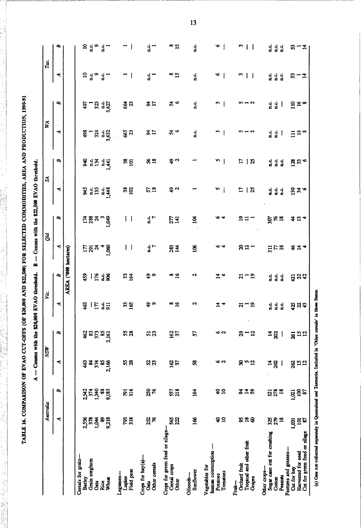TABLE 16. COMPARISON OF EVAO CUT-OFFS (OF \$20,000 AND \$22,500) FOR SELECTED COMMODITIES, AREA AND PRODUCTION, 1990-91 TABLE 16. COMPARISON OF EVAO CUT-OFFS (OF \$20,000 AND \$22,500) FOR SELECTED COMMODITIES, AREA AND PRODUCTION, 1990·91

|                                                                                            | Australia              |                               | <b>MSM</b>                   |                             | نځا            |                        | Qld               |                                  | S             |                         | NA                     |                                               | Tas.                      |                |    |
|--------------------------------------------------------------------------------------------|------------------------|-------------------------------|------------------------------|-----------------------------|----------------|------------------------|-------------------|----------------------------------|---------------|-------------------------|------------------------|-----------------------------------------------|---------------------------|----------------|----|
|                                                                                            | ⋖                      | $\mathbf{z}$                  | ≺                            | $\mathbf{z}$                | ₹              | $\pmb{\alpha}$         | ≺                 | $\mathbf{z}$                     | ≺             | B                       | ≺                      | æ                                             | ⋖                         |                |    |
|                                                                                            |                        |                               |                              |                             |                | AREA ('000 hectares)   |                   |                                  |               |                         |                        |                                               |                           |                |    |
| Cereals for grain-<br>Barley                                                               |                        | 2,542                         | 463                          | 462                         |                |                        |                   |                                  |               |                         |                        | 497                                           |                           |                |    |
| Grain sorghum                                                                              |                        | 374                           | æ                            |                             |                |                        |                   |                                  |               |                         |                        |                                               |                           |                |    |
| <b>Cats</b>                                                                                | 2,556<br>378<br>1,044  | 1,040                         | 374                          | <b>83</b><br>373            |                |                        | $E$ ត្តូត $\star$ | కై జ్రి న                        |               |                         |                        |                                               |                           |                |    |
| Rice                                                                                       | 8                      |                               | SS <sub>1</sub>              | $\boldsymbol{\mathsf{s}}$   |                |                        |                   |                                  |               |                         |                        |                                               |                           |                |    |
| Wheat                                                                                      | 9,218                  | 88<br>281,0                   | 2,166                        | 2,161                       | ទី ដែ ភ្នំ     | 91518                  | 1,060             | <b>eko</b>                       |               | 용 <sub>남</sub> 프 14<br> | $8 - 7$ $100$          | $\begin{array}{c}\n 32 \\  362\n \end{array}$ | $24^{\circ}$ $4^{\circ}$  | $24$ $24$ $7$  |    |
| Field peas<br>Legumes-<br>Lupins                                                           | <b>793</b>             | <b>Pig</b>                    | ង ន                          | 58                          | 38             | 33 <sub>16</sub>       | $\vert \ \vert$   | $\mathsf{L}$                     | $38$<br>$102$ | $\frac{8}{101}$         | 83                     | ढु प्र                                        |                           | −              |    |
| Crops for hay(a)-<br><b>Cars</b>                                                           | 252                    | <b>250</b><br>76              | នន                           | 53                          | ဒ္နွ           | $\frac{6}{7}$          | $\frac{c}{7}$     | ្អ'ិ                             | 57            | %2                      | 32                     | ロス                                            | ្អូ —                     | ្អូក           |    |
| Other cereals                                                                              |                        |                               |                              |                             |                |                        |                   |                                  |               |                         |                        |                                               |                           |                |    |
| Crops for green feed or silage-<br>Cereal crops<br>Other                                   | <b>SS2</b>             | 557                           | <b>162</b><br>37             | <b>162</b><br>37            | $\frac{31}{8}$ | ∝<br>¤                 | $\frac{5}{2}$     | 277                              | ಕೆ ಎ          | ಕೆ ಒ                    | $24^{\circ}$           | $24^{\circ}$                                  | °¤                        | °¤             |    |
| Sunflower<br>Oilseeds-                                                                     | 166                    | 164                           | S                            | 57                          |                | u                      | $\frac{8}{2}$     | $\overline{a}$                   |               |                         | ្មុំ                   | ن<br>ا                                        | ្នុ                       | ن<br>ط         | 13 |
| human consumption -<br>Vegetables for<br>Tomatoes<br>Potatoes                              | Ş<br>$\mathbf{a}$      | ី<br>វ                        | ৽৽                           | ००                          | $\Xi$ 4        | $\mathbf{1}$<br>₹      | ៴<br>◥            |                                  | n<br>ł        | n<br>$\mathbf l$        | ٣                      | $\frac{1}{2}$                                 | $\bullet$<br>$\mathbf{I}$ | $\bullet$<br>I |    |
| Tropical and other fruit<br>Orchard fruit<br>Grapes<br>Fruit-                              | 828                    | まさの                           | かっぽ                          | $3 - 5$                     | ສ−ສ            | $-9$<br>$\overline{a}$ | ន។                | ≘<br>Ξ                           | E<br>। প্ল    | 212                     | $ \alpha$              | ี~ ∾                                          | m<br>$\mathbf{1}$         | m<br>$\perp$   |    |
| Sugar cane cut for crushing<br>Other crops-<br>Peanuts<br>Cotton                           | ងខ្លួន                 | 278<br>$\overline{18}$<br>321 | $rac{14}{20}$<br>$\mathsf I$ | $rac{1}{2}$<br>$\mathbf{I}$ |                | ្មី<br>ភូមិ ឆ្នាំ      | $\Xi_E \approx$   | $rac{2}{9}$ $\times$ $rac{1}{9}$ | ddd<br>aad    | d d d<br>d d d          | ្មប្អូ<br>$\mathbf{I}$ | ្ម<br>ដែ<br>$\mathbf{I}$                      | i i i<br>d d d            | d d d<br>E E E |    |
| Cut for green feed or silage<br>Pastures and grasses-<br>Harvested for seed<br>Cut for hay | $\frac{2}{2}$<br>1,031 | $rac{20}{87}$<br>1,021        | <b>gan</b>                   | 812                         | អ្នក           | 학 3성                   | $8 - 4$           | 4.54                             | 246           | $\vec{a} \ddot{a}$      | $\Xi$ % %              | $\frac{10}{15}$                               | $2 - 7$                   | S.<br>一二       |    |

 $A -$  Census with the \$20,000 EVAO threshold.  $B -$ Census with the \$22,500 EVAO threshold. A  $-$  Census with the \$20,000 EVAO threshold. B  $B - C$ ensus with the \$22,500 EVAO threshold.

(a) Oats not-collected separately in Queensland and Tasmania. Included in 'Other certals' in those States. (a) Oats not-collected separately in Queensland and Tummania. Included in 'Other cereals' in those States.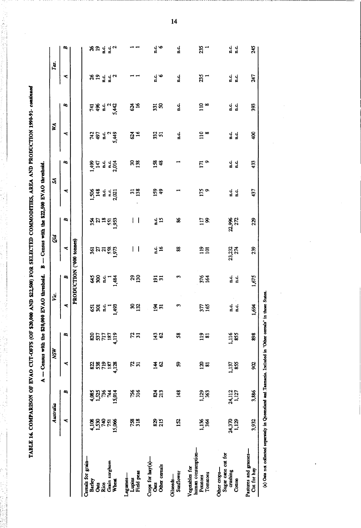TABLE 16. COMPARISON OF EVAO CUT-OFFS (OF \$20,000 AND \$22,500) FOR SELECTED COMMODITIES, AREA AND PRODUCTION 1990-91-continued

 $\frac{1}{2}$  ,  $\frac{1}{2}$  ,  $\frac{1}{2}$  ,  $\frac{1}{2}$  ,  $\frac{1}{2}$  ,  $\frac{1}{2}$  ,  $\frac{1}{2}$ 

|                                                                                                            |                   |                 | $A -$ Census with the                   |                                          | \$20,000 EVAO threshold. |                 | $\mathbf{I}$<br>m         |                      | Census with the \$22,500 EVAO threshold. |                          |                |                  |                          |                          |
|------------------------------------------------------------------------------------------------------------|-------------------|-----------------|-----------------------------------------|------------------------------------------|--------------------------|-----------------|---------------------------|----------------------|------------------------------------------|--------------------------|----------------|------------------|--------------------------|--------------------------|
|                                                                                                            | Australia         |                 |                                         | <b>NSW</b>                               | نغ<br>لا                 |                 | Qid                       |                      | S                                        |                          | N              |                  | Tas.                     |                          |
|                                                                                                            | ⋖                 | B               | ⋖                                       | ≏                                        | ₹                        | B               | ≺                         | $\mathbf{a}$         | ⋖                                        | B                        | ≺              | B                | ≺                        | B                        |
|                                                                                                            |                   |                 |                                         |                                          |                          |                 | PRODUCTION ('000 tonnes)  |                      |                                          |                          |                |                  |                          |                          |
| Cereals for grain-                                                                                         |                   |                 |                                         |                                          |                          |                 |                           |                      |                                          |                          |                |                  |                          |                          |
| <b>Barley</b><br>Oats                                                                                      | 4,108<br>1,530    | 1,525<br>4,085  |                                         |                                          |                          |                 |                           |                      |                                          |                          | 742<br>497     |                  |                          |                          |
| Rice                                                                                                       | 740               | 736             | ន្លន្តខ្ព                               | ន្លង្កក                                  | $584 - 8$                | <b>អន្ត រួ</b>  | <mark>ន្</mark> គងនន្ត្រី | ង្គុងឌីដូ            | <b>Sea de de la production</b>           | <b>145</b><br>147<br>145 | ្នុ            | 보 홍 류            | ង ១ <sub>ម្ព័ ម</sub> ្ព | ង ១ ដូ ដូ ។<br>និង ដូ ដូ |
| Grain sorghum                                                                                              | 751               | 744             | 187                                     | 187                                      |                          |                 |                           |                      |                                          |                          |                |                  |                          |                          |
| Wheat                                                                                                      | 15,066            | 15,014          | 4,128                                   | 4,119                                    |                          | 1,484           |                           |                      |                                          | n.c.<br>2,014            | 5,449          | 5,442            |                          |                          |
| Field peas<br>Legumes-<br>Lupins                                                                           | <b>758</b><br>318 | 756<br>316      | អង                                      | ភ្ន                                      | <u>នន</u>                | 300             | I<br>$\mathsf{l}$         | ł<br>I               | $\frac{31}{138}$                         | ន $\frac{8}{13}$         | 634            | $\frac{34}{16}$  |                          |                          |
| Crops for hay(a)-<br>Other cereals<br><b>Cats</b>                                                          | 825<br>215        | <b>213</b>      | $\boldsymbol{\mathcal{S}}$<br>$\vec{a}$ | $\frac{143}{62}$                         | ጅ።<br>አ                  | $\frac{51}{10}$ | ្នុង                      | ្នុង                 | $^{49}_{49}$                             | <b>158</b>               | 332            | $\frac{331}{50}$ | ្មូ ' o<br>ដ             | ្ម ទ                     |
| Sunflower<br>Oilseeds-                                                                                     | 152               | 148             | S                                       | 58                                       | m                        | E               | 88                        | æ                    |                                          |                          | ្នុ            | ្អុំ             | d.<br>d                  | c.<br>E                  |
| human consumption-<br>Vegetables for<br>Tomatoes<br>Potatoes                                               | 1,136<br>żй       | 1,129<br>363    | 120<br><b>SI</b>                        | $\overline{119}$<br>$\overline{\bullet}$ | 37<br>18                 | <b>376</b>      | $\frac{25}{101}$          | $\Xi$ 8              | 175                                      | 17 <sub>o</sub>          | $\frac{5}{10}$ | $\frac{2}{3}$    | 235                      | 235                      |
| Sugar cane cut for<br>Other crops-<br>crushing<br>Cotton                                                   | 24,370<br>4,129   | 24,112<br>1,127 | 855<br>1,137                            | 1,116<br>855                             | ្មុ<br>ي<br>E            | ្ម<br>ដែ        | 23,232<br>274             | <b>22,996</b><br>272 | ់ ់<br>¤់ ¤់                             | d.<br>H<br>្ចុំ          | ្ពុ<br>ي<br>فا | ្អូ<br>ά.        | d.c.<br>d.<br>E          | d.<br>E<br>d.<br>E       |
| Pastures and grasses-<br>Cut for hay                                                                       | 3,932             | 3,886           | 88                                      | 898                                      | 1,694                    | 1,675           | 239                       | 229                  | 437                                      | 433                      | go             | 393              | 247                      | 245                      |
| (a) Oats not collected separately in Queensland and Tasmania. Included in 'Other cereals' in those States. |                   |                 |                                         |                                          |                          |                 |                           |                      |                                          |                          |                |                  |                          |                          |

Congre with the CM SM EVAO threshold  $\frac{1}{\alpha}$ gue with the COA MA EVAO throchold  $\epsilon$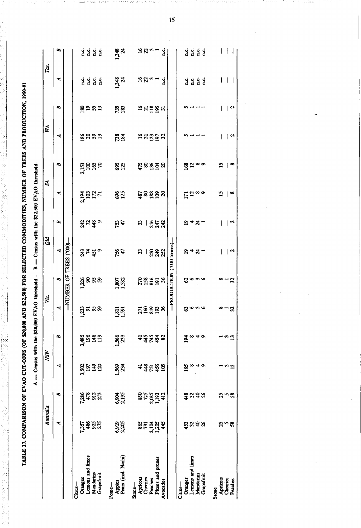TABLE 17. COMPARISON OF EVAO CUT-OFFS (OF \$20,000 AND \$22,500) FOR SELECTED COMMODITIES, NUMBER OF TREES AND PRODUCTION, 1990-91

|                                        | Australia                    |                             | <b>MSM</b>          |                | Υœ.              |                            | Qid             |              | Z               |                 | WA                  |                 | Tas.                                                        |                                                                             |
|----------------------------------------|------------------------------|-----------------------------|---------------------|----------------|------------------|----------------------------|-----------------|--------------|-----------------|-----------------|---------------------|-----------------|-------------------------------------------------------------|-----------------------------------------------------------------------------|
|                                        | ≺                            | æ                           | ≺                   | B              | ≺                | $\mathbf{z}$               | ₹               | B            | ٩               | æ               | ⋖                   | B               | ≺                                                           | æ                                                                           |
|                                        |                              |                             |                     |                |                  | -NUMBER OF TREES ('000)-   |                 |              |                 |                 |                     |                 |                                                             |                                                                             |
| Oranges<br>$C_{\rm{rms}}$              | 7357                         |                             |                     |                |                  |                            |                 |              |                 |                 |                     |                 |                                                             |                                                                             |
| Lemons and limes                       |                              |                             | <b>2258</b><br>2019 |                |                  |                            |                 |              |                 |                 |                     |                 |                                                             |                                                                             |
| Mandarins<br>Grapefruit                | និងដ                         | <b>Esta</b><br>Esta         | $\mathbf{z}$        | asan<br>Saga   | ត្តូតនគ<br>_     | สุรรล<br>_-                | न्द्र द वे<br>स | 유 다 等 이      | <b>ABER</b>     | រ<br>ភូមិ ភ្លូង | ន្ន័ននុក្ន          | ⊗≘ສສ            |                                                             | $\begin{array}{ccccccccc}\nG & G & G & G & G \\ H & H & H & H\n\end{array}$ |
| Pears (incl. Nashi)<br>Apples<br>Pome- | 6,919<br>2,205               | 6,904<br>2,195              | 1582<br>234         | <b>156</b>     | <u>ដូត្ម</u>     | 1,807                      | 7%<br>47        | 753<br>47    | <b>\$25</b>     | <b>825</b>      | 738<br>184          | 735<br>183      | 1,348<br>24                                                 | 1,348                                                                       |
| Apricots<br>Stone-                     |                              |                             | 4                   |                |                  |                            | 33              | 33           |                 |                 |                     |                 |                                                             |                                                                             |
| Cherries<br>Peaches                    | ន្លុ <sub>ដ</sub><br>និងថ្មី |                             |                     |                |                  |                            | $\mathsf{I}$    | $\mathsf{I}$ |                 |                 |                     |                 | "ລິມ                                                        | ≒ສ∽∸                                                                        |
| Plums and prunes<br>Avocados           | 445                          | <b>222311323</b><br>2225113 | # 12 # 12           | 그큐뉴츄ფ          | <u>ក្ខទទួន ន</u> | <b>ក្តុង</b> និង ងូ        | 249<br>252      | <b>288</b>   | ន្ទិននីទី។      | ដ្ឋិនន្ទដ្ឋិន   | <b>ក្កុ</b> ដូច្នឹង | <b>ងឧ</b> ឌីឌីដ | ្មុំ                                                        | ្អុំ                                                                        |
|                                        |                              |                             |                     |                |                  | -PRODUCTION ('000 tonnes)- |                 |              |                 |                 |                     |                 |                                                             |                                                                             |
| Oranges<br>Citrus—                     |                              |                             |                     | $\frac{3}{4}$  | ශ                |                            | ≏               | ຊ            |                 |                 |                     |                 | ្មុំ<br>ជ                                                   |                                                                             |
| Lemons and limes                       |                              |                             | <u>ধ</u> ূ *        | ∞              |                  |                            | শ শ্ল           | শ শ্ল        |                 |                 |                     |                 |                                                             |                                                                             |
| Mandarins                              | ឆ្នូដទង                      | 3.38                        | ᠴᢀ                  | $\bullet$<br>₩ | ついの              | ပ္ဖက္စ                     |                 |              | $E^{\text{20}}$ | <u>ಜ್ಞ</u> ¤∞   |                     |                 | $\begin{array}{ccc}\n G & G & G \\  H & H & G\n\end{array}$ | 0 0 0 0<br>0 0 0 0<br>0 0 0                                                 |
| Grapefruit                             |                              |                             |                     |                |                  |                            |                 |              |                 |                 |                     |                 |                                                             |                                                                             |
| Apricots<br><b>Stone</b>               |                              |                             |                     |                | œ.,              | œ                          | I               |              | $\overline{15}$ | ≌               |                     | ı               |                                                             |                                                                             |
| Cherries<br>Peaches                    | స్వ                          | సంజ                         | ີ ມ                 | ່ຍມີ           | .ង               | $\frac{1}{32}$             | $\overline{a}$  | $\sqrt{2}$   |                 |                 | $\mathsf{R}$        | $\overline{1}$  |                                                             | ł                                                                           |
|                                        |                              |                             |                     |                |                  |                            |                 |              | $\infty$        | œ               |                     |                 |                                                             | H                                                                           |

 $A -$  Census with the \$20,000 EYAO threshold. B  $-$  Census with the \$22,500 EYAO threshold.

 $15$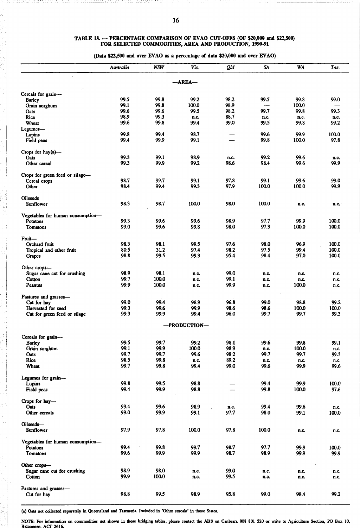# TABLE 18. - PERCENTAGE COMPARISON OF EVAO CUT-OFFS (OF \$20,000 and \$22,500)<br>FOR SELECTED COMMODITIES, AREA AND PRODUCTION, 1990-91

(Data \$22,500 and over EVAO as a percentage of data \$20,000 and over EVAO)

|                                   | Australia    | <b>NSW</b>     | Vic.         | Qld          | SA           | WA            | Tas.          |
|-----------------------------------|--------------|----------------|--------------|--------------|--------------|---------------|---------------|
|                                   |              |                | —AREA—       |              |              |               |               |
| Cereals for grain-                |              |                |              |              |              |               |               |
| <b>Barley</b>                     | 99.5         | 99.8           | 99.2         | 98.2         | 99.5         | 99.8          | 99.0          |
| Grain sorghum                     | 99.1         | 99.8           | 100.0        | 98.9         |              | 100.0         |               |
| Oats                              | 99.6         | 99.6           | 99.5         | 98.2         | 99.7         | 99.8          | 99.3          |
| Rice                              | 98.9         | 99.3           | n.c.         | 88.7         | n.c.         | n.c.          | n.c.          |
| Wheat                             | 99.6         | 99.8           | 99.4         | 99.0         | 99.5         | 99.8          | 99.2          |
| Legumes—                          |              |                |              |              |              |               |               |
| Lupins                            | 99.8         | 99.4           | 98.7         |              | 99.6         | 99.9          | 100.0         |
| Field peas                        | 99.4         | 99.9           | 99.1         |              | 99.8         | 100.0         | 97.8          |
| Crops for hay $(a)$ —             |              |                |              |              |              |               |               |
| Oats                              | 99.3         | 99.1           | 98.9         | n.c.         | 99.2         | 99.6          | n.c.          |
| Other cereal                      | 99.3         | 99.9           | 99.2         | 98.6         | 98.4         | 99.6          | 99.9          |
| Crops for green feed or silage-   |              |                |              |              |              |               |               |
| Cereal crops                      | 98.7         | 99.7           | 99.1         | 97.8         | 99.1         | 99.6          | 99.0          |
| Other                             | 98.4         | 99.4           | 99.3         | 97.9         | 100.0        | 100.0         | 99.9          |
| Oilseeds                          |              |                |              |              |              |               |               |
| Sunflower                         | 98.3         | 98.7           | 100.0        | 98.0         | 100.0        | n.c.          | n.c.          |
| Vegetables for human consumption- |              |                |              |              |              |               |               |
| Potatoes                          | 99.3         | 99.6           | 99.6         | 98.9         | 97.7         | 99.9          | 100.0         |
| Tomatoes                          | 99.0         | 99.6           | 99.8         | 98.0         | 97.3         | 100.0         | 100.0         |
| Fruit-                            |              |                |              |              |              |               |               |
| Orchard fruit                     | 98.3         | 98.1           | 99.5         | 97.6         | 98.0         | 96.9          | 100.0         |
| Tropical and other fruit          | 80.5         | 31.2           | 97.4         | 98.2         | 97.5         | 99.4          | 100.0         |
| Grapes                            | 98.8         | 99.5           | 99.3         | 95.4         | 98.4         | 97.0          | 100.0         |
| Other crops-                      |              |                |              |              |              |               |               |
| Sugar cane cut for crushing       | 98.9         | 98.1           | n.c.         | 99.0         | n.c.         | n.c.          | n.c.          |
| Cotton<br>Peanuts                 | 99.7<br>99.9 | 100.0<br>100.0 | n.c.<br>n.c. | 99.1<br>99.9 | n.c.<br>n.c. | n.c.<br>100.0 | n.c.<br>n.c.  |
|                                   |              |                |              |              |              |               |               |
| Pastures and grasses-             |              |                |              |              |              |               |               |
| Cut for hay                       | 99.0         | 99.4           | 98.9         | 96.8         | 99.0         | 98.8          | 99.2          |
| Harvested for seed                | 99.3<br>99.3 | 99.6           | 99.9         | 98.6<br>96.0 | 98.6<br>99.7 | 100.0<br>99.7 | 100.0<br>99.3 |
| Cut for green feed or silage      |              | 99.9           | 99.4         |              |              |               |               |
|                                   |              |                | -PRODUCTION- |              |              |               |               |
| Cereals for grain-                |              |                |              |              |              |               |               |
| Barley                            | 99.5         | 99.7           | 99.2         | 98.1         | 99.6         | 99.8          | 99.1          |
| Grain sorghum                     | 99.1         | 99.9           | 100.0        | 98.9         | n.c.         | 100.0         | n.c.          |
| Oats                              | 99.7         | 99.7           | 99.6         | 98.2         | 99.7         | 99.7          | 99.3          |
| Rice                              | 98.5         | 99.8           | n.c.         | 89.2         | n.c.         | n.c.          | n.c.          |
| Wheat                             | 99.7         | 99.8           | 99.4         | 99.0         | 99.6         | 99.9          | 99.6          |
| Legumes for grain-                |              |                |              |              |              |               |               |
| Lupins                            | 99.8         | 99.5           | 98.8         |              | 99.4         | 99.9          | 100.0         |
| Field peas                        | 99.4         | 99.9           | 98.8         |              | 99.8         | 100.0         | 97.6          |
| Crops for hay-                    |              |                |              |              |              |               |               |
| Oats<br>Other cereals             | 99.4<br>99.0 | 99.6<br>99.9   | 98.9<br>99.1 | n.c.<br>97.7 | 99.4<br>98.0 | 99.6<br>99.1  | n.c.          |
|                                   |              |                |              |              |              |               | 100.0         |
| Oilseeds-                         |              |                |              |              |              |               |               |
| Sunflower                         | 97.9         | 97.8           | 100.0        | 97.8         | 100.0        | n.c.          | n.c.          |
| Vegetables for human consumption- |              |                |              |              |              |               |               |
| Potatoes                          | 99.4<br>99.6 | 99.8<br>99.9   | 99.7         | 98.7         | 97.7         | 99.9          | 100.0         |
| <b>Tomatoes</b>                   |              |                | 99.9         | 98.7         | 98.9         | 99.9          | 99.9          |
| Other crops-                      |              |                |              |              |              |               |               |
| Sugar cane cut for crushing       | 98.9         | 98.0           | n.c.         | 99.0         | n.c.         | n.c.          | n.c.          |
| Cotton                            | 99.9         | 100.0          | n.c.         | 99.5         | n.c.         | n.c.          | n.c.          |
| Pastures and grasses-             |              |                |              |              |              |               |               |
| Cut for hay                       | 98.8         | 99.5           | 98.9         | 95.8         | 99.0         | 98.4          | 99.2          |

(a) Oats not collected separately in Queensland and Tasmania. Included in 'Other cereals' in those States.

NOTE: For information on commodities not shown in these bridging tables, please contact the ABS on Canberra 008 801 520 or write to Agriculture Section, PO Box 10, Belconnen, ACT 2616.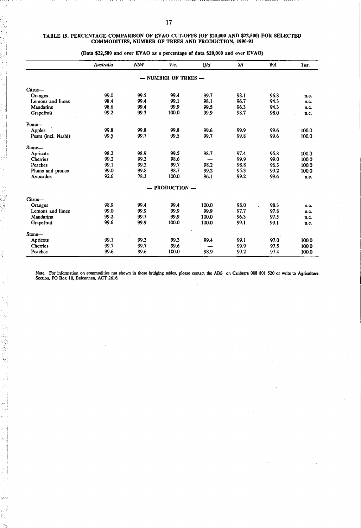#### TABLE 19. PERCENTAGE COMPARISON OF EVAO CUT·OFFS (OF \$20,000 AND \$22,500) FOR SELECTED COMMODITIES, NUMBER OF TREES AND PRODUCTION, 1990·91

|                     | Australia | <b>NSW</b> | Vic.                    | Qld   | SA   | <b>WA</b> | Tas.  |
|---------------------|-----------|------------|-------------------------|-------|------|-----------|-------|
|                     |           |            | $-$ NUMBER OF TREES $-$ |       |      |           |       |
| Citrus-             |           |            |                         |       |      |           |       |
| Oranges             | 99.0      | 99.5       | 99.4                    | 99.7  | 98.1 | 96.8      | n.c.  |
| Lemons and limes    | 98.4      | 99.4       | 99.1                    | 98.1  | 96.7 | 94.3      | n.c.  |
| Mandarins           | 98.6      | 99.4       | 99.9                    | 99.5  | 96.3 | 94.3      | n.c.  |
| Grapefruit          | 99.2      | 99.3       | 100.0                   | 99.9  | 98.7 | 98.0      | n.c.  |
| Pome-               |           |            |                         |       |      |           |       |
| Apples              | 99.8      | 99.8       | 99.8                    | 99.6  | 99.9 | 99.6      | 100.0 |
| Pears (incl. Nashi) | 99.5      | 99.7       | 99.5                    | 99.7  | 99.8 | 99.6      | 100.0 |
| Stone-              |           |            |                         |       |      |           |       |
| Apricots            | 98.2      | 98.9       | 99.5                    | 98.7  | 97.4 | 95.8      | 100.0 |
| Cherries            | 99.2      | 99.3       | 98.6                    |       | 99.9 | 99.0      | 100.0 |
| Peaches             | 99.1      | 99.2       | 99.7                    | 98.2  | 98.8 | 96.3      | 100.0 |
| Plums and prunes    | 99.0      | 99.8       | 98.7                    | 99.2  | 95.3 | 99.2      | 100.0 |
| Avocados            | 92.6      | 78.3       | 100.0                   | 96.1  | 99.2 | 99.6      | n.c.  |
|                     |           |            | $-$ PRODUCTION $-$      |       |      |           |       |
| Citrus-             |           |            |                         |       |      |           |       |
| Oranges             | 98.9      | 99.4       | 99.4                    | 100.0 | 98.0 | 98.3      | n.c.  |
| Lemons and limes    | 99.0      | 99.9       | 99.9                    | 99.9  | 97.7 | 97.8      | n.c.  |
| Mandarins           | 99.2      | 99.7       | 99.9                    | 100.0 | 96.3 | 97.5      | n.c.  |
| Grapefruit          | 99.6      | 99.9       | 100.0                   | 100.0 | 99.1 | 99.1      | n.c.  |
| Stone-              |           |            |                         |       |      |           |       |
| Apricots            | 99.1      | 99.3       | 99.3                    | 99.4  | 99.1 | 97.0      | 100.0 |
| Cherries            | 99.7      | 99.7       | 99.6                    |       | 99.9 | 97.5      | 100.0 |
| Peaches             | 99.6      | 99.6       | 100.0                   | 98.9  | 99.2 | 97.4      | 100.0 |

(Data \$22,500 and over EVAO as a percentage of data \$20,000 and over EVAO)

.1 I

i :i I

-.

- I i Note. For information on commodities not shown in these bridging tables, please contact the ABS on Canberra 008 801 520 or write to Agriculture<br>Section, PO Box 10, Belconnen, ACT 2616.

 $\bar{z}$ 

 $\overline{a}$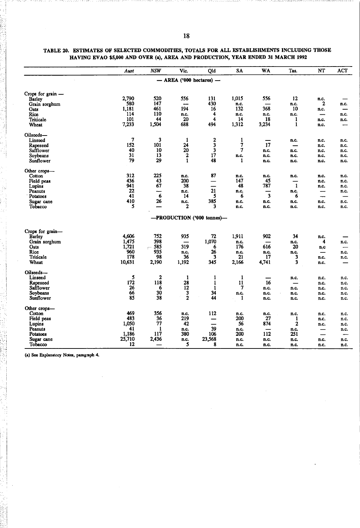|                                | Aust             | <b>NSW</b>            | Vic.             | Qld                          | SA                  | WA    | Tas.                             | NT           | ACT          |
|--------------------------------|------------------|-----------------------|------------------|------------------------------|---------------------|-------|----------------------------------|--------------|--------------|
|                                |                  |                       |                  | $-$ AREA ('000 hectares) $-$ |                     |       |                                  |              |              |
| Crops for grain -              |                  |                       |                  |                              |                     |       |                                  |              |              |
| Barley                         | 2,790            | 520                   | 556              | 131                          | 1,015               | 556   | 12                               | n.c.         |              |
| Grain sorghum                  | 580              | 147                   | —                | 430                          | n.c.                |       | n.c.                             | $\mathbf{2}$ | n.c.         |
| Oats                           | 1,181            | 461                   | 194              | 16                           | 132                 | 368   | 10                               | n.c.         | —            |
| Rice                           | 114              | 110                   | n.c.             | 4                            | n.c.                | n.c.  | n.c.                             | —            | n.c.         |
| Triticale                      | 101              | 44                    | 20               | 4                            | 14                  | 18    | 1                                | n.c.         | n.c.         |
| Wheat                          | 7,233            | 1,504                 | 688              | 494                          | 1,312               | 3,234 | 1                                | n.c.         |              |
| Oilseeds-                      |                  |                       |                  |                              |                     |       |                                  |              |              |
| Linseed                        | $\boldsymbol{7}$ | 3                     | $\mathbf{1}$     | $\mathbf{2}$                 | 1                   |       | n.c.                             | n.c.         | n.c.         |
| Rapeseed                       | 152              | 101                   | 24               | 3                            | 7                   | 17    | -                                | n.c.         | n.c.         |
| Safflower                      | 40               | 10                    | 20               | 3                            | 7                   | n.c.  | n.c.                             | n.c.         | n.c.         |
| Soybeans                       | 31               | 13                    | $\bf 2$          | 17                           | n.c.                | n.c.  | n.c.                             | n.c.         | n.c.         |
| Sunflower                      | 79               | 29                    | $\mathbf{1}$     | 48                           | 1                   | n.c.  | n.c.                             | n.c.         | n.c.         |
| Other crops-                   |                  |                       |                  |                              |                     |       |                                  |              |              |
| Cotton                         | 312              | 225                   | n.c.             | 87                           | n.c.                | n.c.  | n.c.                             | n.c.         | n.c.         |
| Field peas                     | 436              | 43                    | 200              | $\overline{\phantom{0}}$     | 147                 | 45    |                                  | n.c.         | n.c.         |
| Lupins                         | 941              | 67                    | 38               | —                            | 48                  | 787   | $\mathbf{1}$                     | n.c.         | n.c.         |
| Peanuts                        | 22               | --                    | n.c.             | 21                           | n.c.                |       | n.c.                             | -            | n.c.         |
| Potatoes                       | 41               | 6                     | 14               | 5                            | 6                   | 3     | 6                                |              |              |
| Sugar cane                     | 410              | 26                    | n.c.             | 385                          | n.c.                | n.c.  | n.c.                             | n.c.         | n.c.         |
| Tobacco                        | 5                |                       | $\mathbf{2}$     | 3                            | n.c.                | n.c.  | n.c.                             | n.c.         | n.c.         |
|                                |                  |                       |                  | -PRODUCTION ('000 tonnes)-   |                     |       |                                  |              |              |
|                                |                  |                       |                  |                              |                     |       |                                  |              |              |
| Crops for grain-               | 4,606            | 752                   | 935              |                              | 1,911               | 902   | 34                               |              |              |
| <b>Barley</b><br>Grain sorghum | 1,475            | 398                   | —                | 72<br>1,070                  | n.c.                |       |                                  | n.c.<br>4    |              |
| Oats                           | 1,721            | 585                   | 319              | 6                            | 176                 | 616   | n.c.<br>20                       |              | n.c.         |
| Rice                           | 960              | $\overline{a}$<br>935 | n.c.             | 26                           | n.c.                | n.c.  |                                  | n.c          |              |
| Triticale                      | 178              | 98                    | 36               | 3                            | 21                  | 17    | n.c.<br>3                        | -<br>n.c.    | n.c.<br>n.c. |
| Wheat                          | 10,631           | 2,190                 | 1,192            | 345                          | 2,166               | 4,741 | 3                                | n.c.         |              |
| Oilseeds-                      |                  |                       |                  |                              |                     |       |                                  |              |              |
| Linseed                        | 5                | $\mathbf{2}$          | -1               | 1                            | 1                   |       |                                  |              |              |
| Rapeseed                       | 172              | 118                   | 28               | $\mathbf{1}$                 | 11                  | 16    | n.c.<br>$\overline{\phantom{0}}$ | n.c.         | n.c.         |
| Safflower                      | 26               | 6                     | 12               | 1                            | $\boldsymbol{\tau}$ | п.с.  | n.c.                             | n.c.<br>n.c. | n.c.<br>n.c. |
| Soybeans                       | 66               | 30                    | 3                | 34                           | n.c.                | n.c.  | n.c.                             | n.c.         | n.c.         |
| Sunflower                      | 85               | 38                    | $\boldsymbol{2}$ | 44                           | 1                   | n.c.  | n.c.                             | n.c.         | n.c.         |
| Other crops-                   |                  |                       |                  |                              |                     |       |                                  |              |              |
| Cotton                         | 469              | 356                   | n.c.             | 112                          | n.c.                | n.c.  | n.c.                             | n.c.         | п.с.         |
| Field peas                     | 483              | 36                    | 219              | —                            | 200                 | 27    | 1                                | n.c.         | n.c.         |
| Lupins                         | 1,050            | 77                    | 42               | —                            | 56                  | 874   | $\mathbf{2}$                     | n.c.         | n.c.         |
| Peanuts                        | 41               | 1                     | n.c.             | 39                           | n.c.                |       | n.c.                             |              | n.c.         |
| Potatoes                       | 1,186            | 117                   | 380              | 106                          | 200                 | 112   | 251                              | —            | --           |
| Sugar cane                     | 25,710           | 2,436                 | n.c.             | 23,568                       | n.c.                | n.c.  | n.c.                             | n.c.         | n.c.         |
| Tobacco                        | 12               |                       | 5                | 8                            | n.c.                | n.c.  | n.c.                             | n.c.         | n.c.         |
|                                |                  |                       |                  |                              |                     |       |                                  |              |              |

## TABLE 20. ESTIMATES OF SELECTED COMMODITIES, TOTALS FOR ALL ESTABLISHMENTS INCLUDING THOSE HAVING EVAO \$5,000 AND OVER (a), AREA AND PRODUCTION, YEAR ENDED 31 MARCH 1992

(a) See Explanatory Notes, paragraph 4.

 $\mathbf i$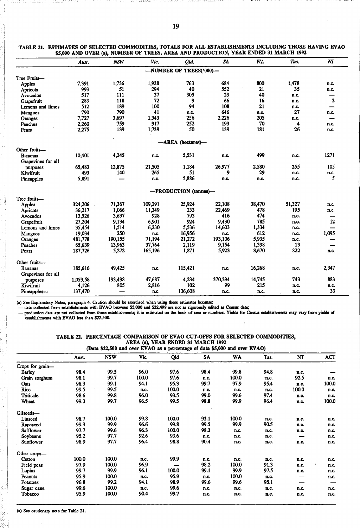|                    | Aust.    | <b>NSW</b> | Vic.    | Qld.                    | <b>SA</b> | <b>WA</b> | Tas.   | NT          |
|--------------------|----------|------------|---------|-------------------------|-----------|-----------|--------|-------------|
|                    |          |            |         | -NUMBER OF TREES('000)- |           |           |        |             |
| Tree Fruits-       |          |            |         |                         |           |           |        |             |
| Apples             | 7,391    | 1,736      | 1.928   | 763                     | 684       | 800       | 1,478  | n.c.        |
| Apricots           | 993      | 51         | 294     | 40                      | 552       | 21        | 35     | n.c.        |
| Avocados           | 517      | 111        | 37      | 305                     | 23        | 40        | n.c.   |             |
| Grapefruit         | 283      | 118        | 72      | 9                       | 66        | 16        | n.c.   | $\mathbf 2$ |
| Lemons and limes   | 512      | 189        | 100     | 94                      | 108       | 21        | n.c.   |             |
| Mangoes            | 790      | 790        | 41      | n.c.                    | 646       | n.c.      | 27     | n.c.        |
| Oranges            | 7.727    | 3,697      | 1.343   | 256                     | 2,226     | 205       | n.c.   |             |
| Peaches            | 2,260    | 759        | 917     | 252                     | 193       | 70        | 4      | n.c.        |
| Pears              | 2,275    | 139        | 1,739   | 50                      | 139       | 181       | 26     | n.c.        |
|                    |          |            |         | -AREA (hectares)-       |           |           |        |             |
| Other fruits-      |          |            |         |                         |           |           |        |             |
| <b>Bananas</b>     | 10,401   | 4,245      | n.c.    | 5,531                   | n.c.      | 499       | n.c.   | 1271        |
| Grapevines for all |          |            |         |                         |           |           |        |             |
| purposes           | 65,483   | 12,875     | 21.505  | 1.184                   | 26,977    | 2,580     | 255    | 105         |
| Kiwifruit          | 493      | 140        | 265     | 51                      | 9         | 29        | n.c.   | n.c.        |
| Pineapples         | 5,891    |            | n.c.    | 5,886                   | n.c.      | n.c.      | n.c.   | 5           |
|                    |          |            |         | -PRODUCTION (tonnes)-   |           |           |        |             |
| Tree fruits-       |          |            |         |                         |           |           |        |             |
| Apples             | 324,206  | 71,367     | 109,291 | 25,924                  | 22,108    | 38,470    | 51,327 | n.c.        |
| Apricots           | 36,217   | 1.066      | 11,349  | 233                     | 22.469    | 478       | 195    | n.c.        |
| Avocados           | 13,526   | 3.637      | 928     | 793                     | 416       | 474       | n.c.   |             |
| Grapefruit         | 27.204   | 9,134      | 6,901   | 924                     | 9,430     | 785       | n.c.   | 12          |
| Lemons and limes   | 35,454   | 1,514      | 6,230   | 5,536                   | 14.603    | 1,334     | n.c.   |             |
| Mangoes            | 19,034   | 250        | n.c.    | 16,956                  | n.c.      | 612       | n.c.   | 1,095       |
| Oranges            | 481,778  | 190.155    | 71.194  | 21.272                  | 193,106   | 5,935     | n.c.   |             |
| Peaches            | 65,639   | 13,963     | 37,764  | 2,119                   | 9,154     | 1,398     | 13     |             |
| Pears              | 187,726  | 5,272      | 165,196 | 1,871                   | 5,923     | 8,670     | 822    | n.c.        |
| Other fruits-      |          |            |         |                         |           |           |        |             |
| <b>Bananas</b>     | 185,616  | 49,425     | n.c.    | 115,421                 | n.c.      | 16,268    | n.c.   | 2,347       |
| Grapevines for all |          |            |         |                         |           |           |        |             |
| purposes           | 1,059,58 | 193,498    | 47,687  | 4,234                   | 370,394   | 14,745    | 743    | 883         |
| Kiwifruit          | 4,126    | 805        | 2,816   | 102                     | 99        | 215       | n.c.   | n.c.        |
| Pineapples-        | 137,470  |            | n.c.    | 136,608                 | n.c.      | n.c.      | n.c.   | 33          |

| TABLE 21. ESTIMATES OF SELECTED COMMODITIES, TOTALS FOR ALL ESTABLISHMENTS INCLUDING THOSE HAVING EVAO |  |
|--------------------------------------------------------------------------------------------------------|--|
| \$5,000 AND OVER (a), NUMBER OF TREES, AREA AND PRODUCTION, YEAR ENDED 31 MARCH 1992                   |  |

(a) See Explanatory Notes, paragraph 4. Caution should be exercised when using these estimates because:<br>--- data collected from establishments with EVAO between \$5,000 and \$22,499 are not as rigorously edited as Census dat establishments with EVAO less than \$22,500.  $\ddot{\phantom{a}}$ 

 $\ddot{\phantom{a}}$ 

## TABLE 22. PERCENTAGE COMPARISON OF EVAO CUT·OFFS FOR SELECTED COMMODITIES, AREA (a), YEAR ENDED 31 MARCH 1992

|                  | (Data \$22,500 and over EVAO as a percentage of data \$5,000 and over EVAO) |            |       |       |      |       |      |       |       |
|------------------|-----------------------------------------------------------------------------|------------|-------|-------|------|-------|------|-------|-------|
|                  | Aust.                                                                       | <b>NSW</b> | Vic.  | Qid   | SA   | WA    | Tas. | NT    | ACT   |
| Crops for grain- |                                                                             |            |       |       |      |       |      |       |       |
| Barley           | 98.4                                                                        | 99.5       | 96.0  | 97.6  | 98.4 | 99.8  | 94.8 | n.c.  |       |
| Grain sorghum    | 98.1                                                                        | 99.7       | 100.0 | 97.6  | n.c. | 100.0 | n.c. | 92.5  | n.c.  |
| Oats             | 98.3                                                                        | 99.1       | 94.1  | 95.3  | 99.7 | 97.9  | 95.4 | n.c.  | 100.0 |
| Rice             | 99.5                                                                        | 99.5       | n.c.  | 100.0 | n.c. | n.c.  | n.c. | 100.0 | n.c.  |
| Triticale        | 98.6                                                                        | 99.8       | 96.0  | 93.5  | 99.0 | 99.6  | 97.4 | n.c.  | n.c.  |
| Wheat            | 99.3                                                                        | 99.7       | 96.5  | 99.5  | 98.8 | 99.9  | 96.4 | n.c.  | 100.0 |
| Oilseeds-        |                                                                             |            |       |       |      |       |      |       |       |
| Linseed          | 98.7                                                                        | 100.0      | 99.8  | 100.0 | 93.1 | 100.0 | n.c. | n.c.  | n.c.  |
| Rapeseed         | 99.3                                                                        | 99.9       | 96.6  | 99.8  | 99.5 | 99.9  | 90.5 | n.c.  | n.c.  |
| <b>Safflower</b> | 97.7                                                                        | 99.6       | 96.3  | 100.0 | 98.3 | n.c.  | n.c. | n.c.  | n.c.  |
| Soybeans         | 95.2                                                                        | 97.7       | 92.6  | 93.6  | n.c. | n.c.  | n.c. |       | n.c.  |
| Sunflower        | 98.9                                                                        | 97.7       | 96.4  | 98.8  | 90.4 | n.c.  | n.c. | n.c.  | n.c.  |
| Other crops-     |                                                                             |            |       |       |      |       |      |       |       |
| Cotton           | 100.0                                                                       | 100.0      | n.c.  | 99.9  | n.c. | n.c.  | n.c. | n.c.  | n.c.  |
| Field peas       | 97.9                                                                        | 100.0      | 96.9  | —     | 98.2 | 100.0 | 91.3 | n.c.  | n.c.  |
| Lupins           | 99.7                                                                        | 99.9       | 96.1  | 100.0 | 99.1 | 99.9  | 97.5 | n.c.  | n.c.  |
| Peanuts          | 95.9                                                                        | 100.0      | n.c.  | 95.9  | n.c. | 100.0 | n.c. |       | n.c.  |
| Potatoes         | 96.8                                                                        | 99.2       | 94.1  | 98.9  | 99.6 | 99.6  | 95.1 | –     |       |
| Sugar cane       | 99.6                                                                        | 100.0      | n.c.  | 99.6  | n.c. | n.c.  | n.c. | n.c.  | n.c.  |
| Tobacco          | 95.9                                                                        | 100.0      | 90.4  | 99.7  | n.c. | n.c.  | n.c. | n.c.  | n.c.  |

(a) See cautionary note for Table 21.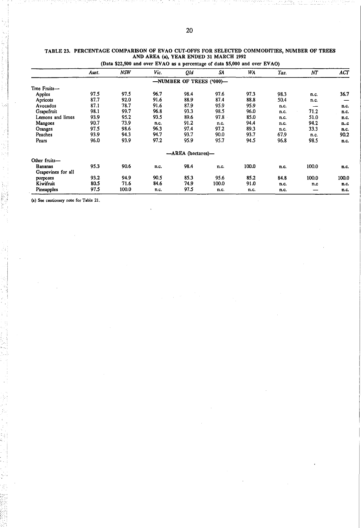|                    | Aust. | <b>NSW</b> | Vic. | Qld                      | SA    | WA    | Tas. | NΤ    | <b>ACT</b> |
|--------------------|-------|------------|------|--------------------------|-------|-------|------|-------|------------|
|                    |       |            |      | -NUMBER OF TREES ('000)- |       |       |      |       |            |
| Tree Fruits-       |       |            |      |                          |       |       |      |       |            |
| Apples             | 97.5  | 97.5       | 96.7 | 98.4                     | 97.6  | 97.3  | 98.3 | n.c.  | 36.7       |
| Apricots           | 87.7  | 92.0       | 91.6 | 88.9                     | 87.4  | 88.8  | 50.4 | n.c.  |            |
| Avocados           | 87.1  | 78.7       | 91.6 | 87.9                     | 95.9  | 95.9  | n.c. |       | n.c.       |
| Grapefruit         | 98.1  | 99.7       | 96.8 | 93.3                     | 98.5  | 96.0  | n.c. | 71.2  | n.c.       |
| Lemons and limes   | 93.9  | 95.2       | 93.5 | 89.6                     | 97.8  | 85.0  | n.c. | 51.0  | n.c.       |
| Mangoes            | 90.7  | 73.9       | n.c. | 91.2                     | n.c.  | 94.4  | n.c. | 94.2  | n.c        |
| Oranges            | 97.5  | 98.6       | 96.3 | 97.4                     | 97.2  | 89.3  | n.c. | 33.3  | n.c.       |
| Peaches            | 93.9  | 94.3       | 94.7 | 93.7                     | 90.0  | 93.7  | 67.9 | n.c.  | 90.2       |
| Pears              | 96.0  | 93.9       | 97.2 | 95.9                     | 95.7  | 94.5  | 96.8 | 98.5  | n.c.       |
|                    |       |            |      | -AREA (hectares)-        |       |       |      |       |            |
| Other fruits-      |       |            |      |                          |       |       |      |       |            |
| <b>Bananas</b>     | 95.3  | 90.6       | n.c. | 98.4                     | n.c.  | 100.0 | n.c. | 100.0 | n.c.       |
| Grapevines for all |       |            |      |                          |       |       |      |       |            |
| purposes           | 93.2  | 94.9       | 90.5 | 85.3                     | 95.6  | 85.2  | 84.8 | 100.0 | 100.0      |
| Kiwifruit          | 80.5  | 71.6       | 84.6 | 74.9                     | 100.0 | 91.0  | n.c. | n.c   | n.c.       |
| Pineapples         | 97.5  | 100.0      | n.c. | 97.5                     | n.c.  | n.c.  | n.c. |       | n.c.       |

#### TABLE 23. PERCENTAGE COMPARISON OF EVAO CUT·OFFS FOR SELECTED COMMODITIES, NUMBER OF TREES AND AREA (0), YEAR ENDED 31 MARCH 1992

(a) See cautionary note for Table 21.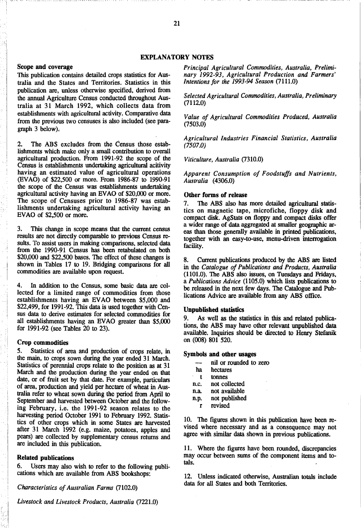## EXPLANATORY NOTES

## Scope and coverage

This publication contains detailed crops statistics for Australia and the States and Territories. Statistics in this publication are, unless otherwise specified, derived from the annual Agriculture Census conducted throughout Australia at 31 March 1992, which collects data from establishments with agricultural activity. Comparative data from the previous two censuses is also included (see paragraph 3 below);

2. The ABS excludes from the Census those establishments which make only a small contribution to overall agricultural production. From  $1991-92$  the scope of the Census is establishments undertaking agricultural acitivity having an estimated value of agricultural operations (EVAO) of \$22,500 or more. From 1986-87 to 1990-91 the scope of the Census was establishments undertaking agricultural activity having an EVAO of \$20,000 or more. The scope of Censuses prior to 1986-87 was establishments undertaking agricultural activity having an EVAO of \$2,500 or more.

3. This change in scope means that the current census results are not directly comparable to previous Census results. To assist users in making comparisons, selected data from the 1990-91 Census has been retabulated on both \$20,000 and \$22,500 bases. The effect of these changes is shown in Tables 17 to 19. Bridging comparisons for all commodities are available upon request.

4. In addition to the Census, some basic data are collected for a limited range of commodities from those establishments having an EV AO between \$5,000 and \$22,499, for 1991-92. This data is used together with Census data to derive estimates for selected commodities for all establishments having an EV AO greater than \$5,000 for 1991-92 (see Tables 20 to 23).

## Crop commodities

5. Statistics of area and production of crops relate, in the main, to crops sown during the year ended 31 March. Statistics of perennial crops relate to the position as at 31 March and the production during the year ended on that date, or of fruit set by that date. For example, particulars of area, production and yield per hectare of wheat in Australia refer to wheat sown during the period from April to September and harvested between October and the following February, i.e. the 1991-92 season relates to the harvesting period October 1991 to February 1992. Statistics of other crops which in some States are harvested after 31 March 1992 (e.g. maize, potatoes, apples and pears) are collected by supplementary census returns and are included in this publication.

## Related publications

6. Users may also wish to refer to the following publications which are available from ABS bookshops:

*Characteristics of Australian Farms (7102.0)* 

*Livestock and Livestock Products, Australia (7221.0)* 

*Principal Agricultural Commodities, Australia, Preliminary* 1992-93, *Agricultural Production and Farmers' Intentions for the* 1993-94 *Season (7111.0)* 

*Selected Agricultural Commodities, Australia, Preliminary*  (7112.0)

*Value of Agricultural Commodities Produced, Australia*  (7503.0)

*Agricultural Industries Financial Statistics, Australia*  (7507.0)

*Viticulture, Australia (7310.0)* 

*Apparent Consumption of Foodstuffs and Nutrients, Australia (4306.0)* 

## Other forms of release

7. The ABS also has more detailed agricultural statistics on magnetic tape, microfiche, floppy disk and compact disk. AgStats on floppy and compact disks offer a wider range of data aggregated at smaller geographic areas than those generally available in printed publications, together with an easy-to-use, menu-driven interrogation facility.

8. Current publications produced by the ABS are listed in the *Catalogue of Publications and Products, Australia*  (1101.0). The ABS also issues, on Tuesdays and Fridays, a *Publications Advice* (1105.0) which lists publications to be released in the next few days. The Catalogue and Publications Advice are available from any ABS office.

## UnpUblished statistics

9. As well as the statistics in this and related publications, the ABS may have other relevant unpublished data available. Inquiries should be directed to Henry Stefanik on (008) 801 520.

## Symbols and other usages

- nil or rounded to zero
- ha hectares
- t tonnes

n.c. not collected

n.a. not available

n.p. not published

r revised

10. The figures shown in this publication have been revised where necessary and as a consequence may not agree with similar data shown in previous publications.

11. Where the figures have been rounded, discrepancies may occur between sums of the component items and totals.

12. Unless indicated otherwise, Australian totals include data for all States and both Territories.